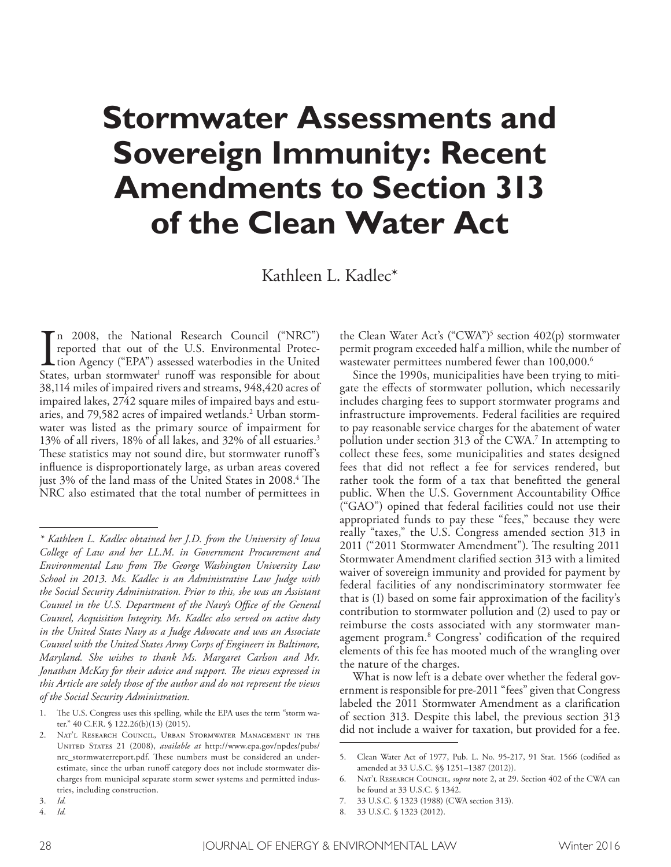# **Stormwater Assessments and Sovereign Immunity: Recent Amendments to Section 313 of the Clean Water Act**

Kathleen L. Kadlec\*

 $\prod_{\text{Stat}}$ n 2008, the National Research Council ("NRC") reported that out of the U.S. Environmental Protection Agency ("EPA") assessed waterbodies in the United States, urban stormwater<sup>1</sup> runoff was responsible for about 38,114 miles of impaired rivers and streams, 948,420 acres of impaired lakes, 2742 square miles of impaired bays and estuaries, and 79,582 acres of impaired wetlands. 2 Urban stormwater was listed as the primary source of impairment for 13% of all rivers, 18% of all lakes, and 32% of all estuaries. 3 These statistics may not sound dire, but stormwater runoff's infuence is disproportionately large, as urban areas covered just 3% of the land mass of the United States in 2008.<sup>4</sup> The NRC also estimated that the total number of permittees in

4. *Id.*

the Clean Water Act's ("CWA")<sup>5</sup> section 402(p) stormwater permit program exceeded half a million, while the number of wastewater permittees numbered fewer than 100,000. 6

Since the 1990s, municipalities have been trying to mitigate the efects of stormwater pollution, which necessarily includes charging fees to support stormwater programs and infrastructure improvements. Federal facilities are required to pay reasonable service charges for the abatement of water pollution under section 313 of the CWA. 7 In attempting to collect these fees, some municipalities and states designed fees that did not refect a fee for services rendered, but rather took the form of a tax that beneftted the general public. When the U.S. Government Accountability Office ("GAO") opined that federal facilities could not use their appropriated funds to pay these "fees," because they were really "taxes," the U.S. Congress amended section 313 in 2011 ("2011 Stormwater Amendment"). The resulting 2011 Stormwater Amendment clarifed section 313 with a limited waiver of sovereign immunity and provided for payment by federal facilities of any nondiscriminatory stormwater fee that is (1) based on some fair approximation of the facility's contribution to stormwater pollution and (2) used to pay or reimburse the costs associated with any stormwater management program. 8 Congress' codifcation of the required elements of this fee has mooted much of the wrangling over the nature of the charges.

What is now left is a debate over whether the federal government is responsible for pre-2011 "fees" given that Congress labeled the 2011 Stormwater Amendment as a clarifcation of section 313. Despite this label, the previous section 313 did not include a waiver for taxation, but provided for a fee.

*<sup>\*</sup> Kathleen L. Kadlec obtained her J.D. from the University of Iowa College of Law and her LL.M. in Government Procurement and Environmental Law from Te George Washington University Law School in 2013. Ms. Kadlec is an Administrative Law Judge with the Social Security Administration. Prior to this, she was an Assistant Counsel in the U.S. Department of the Navy's Ofce of the General Counsel, Acquisition Integrity. Ms. Kadlec also served on active duty in the United States Navy as a Judge Advocate and was an Associate Counsel with the United States Army Corps of Engineers in Baltimore, Maryland. She wishes to thank Ms. Margaret Carlson and Mr. Jonathan McKay for their advice and support. Te views expressed in this Article are solely those of the author and do not represent the views of the Social Security Administration.*

<sup>1.</sup> The U.S. Congress uses this spelling, while the EPA uses the term "storm water." 40 C.F.R. § 122.26(b)(13) (2015).

<sup>2.</sup> Nat'l Research Council, Urban Stormwater Management in the United States 21 (2008), *available at* http://www.epa.gov/npdes/pubs/ nrc\_stormwaterreport.pdf. These numbers must be considered an underestimate, since the urban runoff category does not include stormwater discharges from municipal separate storm sewer systems and permitted industries, including construction.

<sup>3.</sup> *Id.*

<sup>5.</sup> Clean Water Act of 1977, Pub. L. No. 95-217, 91 Stat. 1566 (codifed as amended at 33 U.S.C. §§ 1251–1387 (2012)).

Nat'l RESEARCH COUNCIL, *supra* note 2, at 29. Section 402 of the CWA can be found at 33 U.S.C. § 1342.

<sup>7. 33</sup> U.S.C. § 1323 (1988) (CWA section 313).

<sup>8. 33</sup> U.S.C. § 1323 (2012).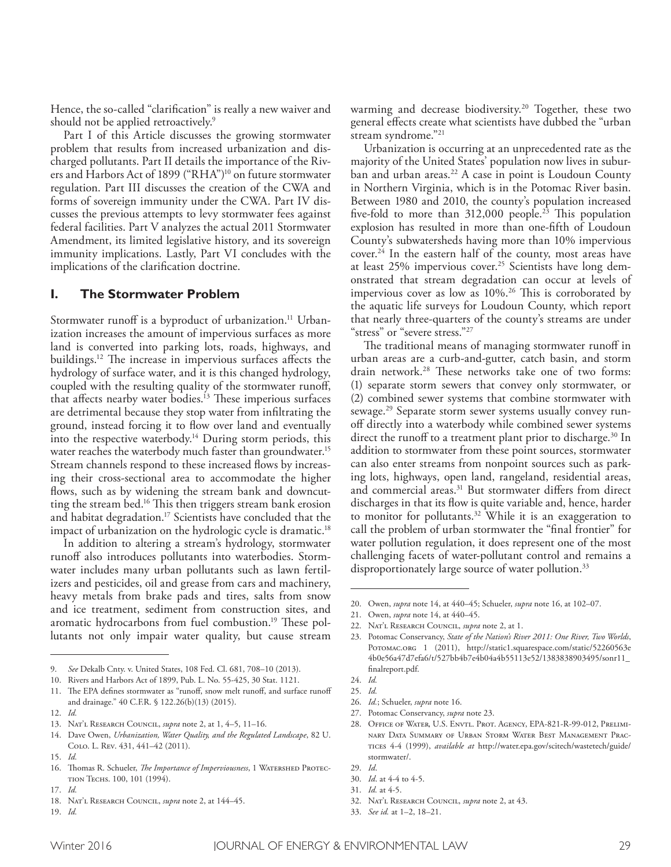Hence, the so-called "clarifcation" is really a new waiver and should not be applied retroactively. 9

Part I of this Article discusses the growing stormwater problem that results from increased urbanization and discharged pollutants. Part II details the importance of the Rivers and Harbors Act of 1899 ("RHA")10 on future stormwater regulation. Part III discusses the creation of the CWA and forms of sovereign immunity under the CWA. Part IV discusses the previous attempts to levy stormwater fees against federal facilities. Part V analyzes the actual 2011 Stormwater Amendment, its limited legislative history, and its sovereign immunity implications. Lastly, Part VI concludes with the implications of the clarifcation doctrine.

### **I. The Stormwater Problem**

Stormwater runoff is a byproduct of urbanization.<sup>11</sup> Urbanization increases the amount of impervious surfaces as more land is converted into parking lots, roads, highways, and buildings.<sup>12</sup> The increase in impervious surfaces affects the hydrology of surface water, and it is this changed hydrology, coupled with the resulting quality of the stormwater runof, that affects nearby water bodies.<sup>13</sup> These imperious surfaces are detrimental because they stop water from infltrating the ground, instead forcing it to fow over land and eventually into the respective waterbody. 14 During storm periods, this water reaches the waterbody much faster than groundwater. 15 Stream channels respond to these increased flows by increasing their cross-sectional area to accommodate the higher flows, such as by widening the stream bank and downcutting the stream bed.<sup>16</sup> This then triggers stream bank erosion and habitat degradation. 17 Scientists have concluded that the impact of urbanization on the hydrologic cycle is dramatic. 18

In addition to altering a stream's hydrology, stormwater runoff also introduces pollutants into waterbodies. Stormwater includes many urban pollutants such as lawn fertilizers and pesticides, oil and grease from cars and machinery, heavy metals from brake pads and tires, salts from snow and ice treatment, sediment from construction sites, and aromatic hydrocarbons from fuel combustion.<sup>19</sup> These pollutants not only impair water quality, but cause stream

warming and decrease biodiversity. 20 Together, these two general efects create what scientists have dubbed the "urban stream syndrome."21

Urbanization is occurring at an unprecedented rate as the majority of the United States' population now lives in suburban and urban areas. 22 A case in point is Loudoun County in Northern Virginia, which is in the Potomac River basin. Between 1980 and 2010, the county's population increased five-fold to more than 312,000 people.<sup>23</sup> This population explosion has resulted in more than one-ffth of Loudoun County's subwatersheds having more than 10% impervious cover. 24 In the eastern half of the county, most areas have at least 25% impervious cover. 25 Scientists have long demonstrated that stream degradation can occur at levels of impervious cover as low as 10%.<sup>26</sup> This is corroborated by the aquatic life surveys for Loudoun County, which report that nearly three-quarters of the county's streams are under "stress" or "severe stress."<sup>27</sup>

The traditional means of managing stormwater runoff in urban areas are a curb-and-gutter, catch basin, and storm drain network.<sup>28</sup> These networks take one of two forms: (1) separate storm sewers that convey only stormwater, or (2) combined sewer systems that combine stormwater with sewage. 29 Separate storm sewer systems usually convey runof directly into a waterbody while combined sewer systems direct the runoff to a treatment plant prior to discharge.<sup>30</sup> In addition to stormwater from these point sources, stormwater can also enter streams from nonpoint sources such as parking lots, highways, open land, rangeland, residential areas, and commercial areas. 31 But stormwater difers from direct discharges in that its fow is quite variable and, hence, harder to monitor for pollutants. 32 While it is an exaggeration to call the problem of urban stormwater the "fnal frontier" for water pollution regulation, it does represent one of the most challenging facets of water-pollutant control and remains a disproportionately large source of water pollution. 33

- 32. Nat'l Research Council, *supra* note 2, at 43.
- 33. *See id.* at 1–2, 18–21.

<sup>9.</sup> *See* Dekalb Cnty. v. United States, 108 Fed. Cl. 681, 708–10 (2013).

<sup>10.</sup> Rivers and Harbors Act of 1899, Pub. L. No. 55-425, 30 Stat. 1121.

<sup>11.</sup> The EPA defines stormwater as "runoff, snow melt runoff, and surface runoff and drainage." 40 C.F.R. § 122.26(b)(13) (2015).

<sup>12.</sup> *Id.*

<sup>13.</sup> Nat'l Research Council, *supra* note 2, at 1, 4–5, 11–16.

<sup>14.</sup> Dave Owen, *Urbanization, Water Quality, and the Regulated Landscape*, 82 U. Colo. L. Rev. 431, 441–42 (2011).

<sup>15.</sup> *Id.*

<sup>16.</sup> Thomas R. Schueler, *The Importance of Imperviousness*, 1 WATERSHED PROTECtion Techs. 100, 101 (1994).

<sup>17.</sup> *Id.*

<sup>18.</sup> Nat'l Research Council, *supra* note 2, at 144–45.

<sup>19.</sup> *Id.*

<sup>20.</sup> Owen, *supra* note 14, at 440–45; Schueler, *supra* note 16, at 102–07.

<sup>21.</sup> Owen, *supra* note 14, at 440–45.

<sup>22.</sup> Nat'l Research Council, *supra* note 2, at 1.

<sup>23.</sup> Potomac Conservancy, *State of the Nation's River 2011: One River, Two Worlds*, POTOMAC.ORG 1 (2011), http://static1.squarespace.com/static/52260563e 4b0e56a47d7efa6/t/527bb4b7e4b04a4b55113e52/1383838903495/sonr11\_ fnalreport.pdf.

<sup>24.</sup> *Id.*

<sup>25.</sup> *Id.*

<sup>26.</sup> *Id.*; Schueler, *supra* note 16.

<sup>27.</sup> Potomac Conservancy, *supra* note 23.

<sup>28.</sup> Office of Water, U.S. Envtl. Prot. Agency, EPA-821-R-99-012, Preliminary Data Summary of Urban Storm Water Best Management Practices 4-4 (1999), *available at* http://water.epa.gov/scitech/wastetech/guide/ stormwater/.

<sup>29.</sup> *Id*.

<sup>30.</sup> *Id*. at 4-4 to 4-5.

<sup>31.</sup> *Id.* at 4-5.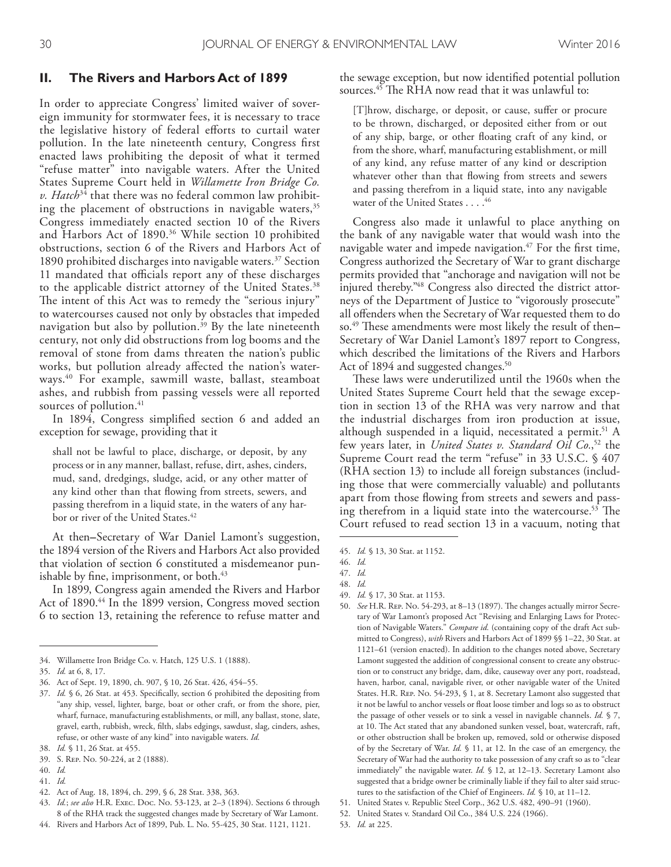#### **II. The Rivers and Harbors Act of 1899**

In order to appreciate Congress' limited waiver of sovereign immunity for stormwater fees, it is necessary to trace the legislative history of federal eforts to curtail water pollution. In the late nineteenth century, Congress frst enacted laws prohibiting the deposit of what it termed "refuse matter" into navigable waters. After the United States Supreme Court held in *Willamette Iron Bridge Co. v. Hatch*34 that there was no federal common law prohibiting the placement of obstructions in navigable waters,  $35$ Congress immediately enacted section 10 of the Rivers and Harbors Act of 1890. 36 While section 10 prohibited obstructions, section 6 of the Rivers and Harbors Act of 1890 prohibited discharges into navigable waters. 37 Section 11 mandated that officials report any of these discharges to the applicable district attorney of the United States. 38 The intent of this Act was to remedy the "serious injury" to watercourses caused not only by obstacles that impeded navigation but also by pollution. 39 By the late nineteenth century, not only did obstructions from log booms and the removal of stone from dams threaten the nation's public works, but pollution already afected the nation's waterways. 40 For example, sawmill waste, ballast, steamboat ashes, and rubbish from passing vessels were all reported sources of pollution. 41

In 1894, Congress simplifed section 6 and added an exception for sewage, providing that it

shall not be lawful to place, discharge, or deposit, by any process or in any manner, ballast, refuse, dirt, ashes, cinders, mud, sand, dredgings, sludge, acid, or any other matter of any kind other than that fowing from streets, sewers, and passing therefrom in a liquid state, in the waters of any harbor or river of the United States. 42

At then**–**Secretary of War Daniel Lamont's suggestion, the 1894 version of the Rivers and Harbors Act also provided that violation of section 6 constituted a misdemeanor punishable by fne, imprisonment, or both. 43

In 1899, Congress again amended the Rivers and Harbor Act of 1890. 44 In the 1899 version, Congress moved section 6 to section 13, retaining the reference to refuse matter and

- 40. *Id.*
- 41. *Id.*
- 42. Act of Aug. 18, 1894, ch. 299, § 6, 28 Stat. 338, 363.
- 43. *Id.*; *see also* H.R. Exec. Doc. No. 53-123, at 2–3 (1894). Sections 6 through 8 of the RHA track the suggested changes made by Secretary of War Lamont.
- 44. Rivers and Harbors Act of 1899, Pub. L. No. 55-425, 30 Stat. 1121, 1121.

the sewage exception, but now identifed potential pollution sources.<sup>45</sup> The RHA now read that it was unlawful to:

[T]hrow, discharge, or deposit, or cause, sufer or procure to be thrown, discharged, or deposited either from or out of any ship, barge, or other foating craft of any kind, or from the shore, wharf, manufacturing establishment, or mill of any kind, any refuse matter of any kind or description whatever other than that fowing from streets and sewers and passing therefrom in a liquid state, into any navigable water of the United States . . . . 46

Congress also made it unlawful to place anything on the bank of any navigable water that would wash into the navigable water and impede navigation. 47 For the frst time, Congress authorized the Secretary of War to grant discharge permits provided that "anchorage and navigation will not be injured thereby." 48 Congress also directed the district attorneys of the Department of Justice to "vigorously prosecute" all ofenders when the Secretary of War requested them to do so.<sup>49</sup> These amendments were most likely the result of then– Secretary of War Daniel Lamont's 1897 report to Congress, which described the limitations of the Rivers and Harbors Act of 1894 and suggested changes. 50

These laws were underutilized until the 1960s when the United States Supreme Court held that the sewage exception in section 13 of the RHA was very narrow and that the industrial discharges from iron production at issue, although suspended in a liquid, necessitated a permit. 51 A few years later, in *United States v. Standard Oil Co.*, 52 the Supreme Court read the term "refuse" in 33 U.S.C. § 407 (RHA section 13) to include all foreign substances (including those that were commercially valuable) and pollutants apart from those fowing from streets and sewers and passing therefrom in a liquid state into the watercourse.<sup>53</sup> The Court refused to read section 13 in a vacuum, noting that

- 49. *Id.* § 17, 30 Stat. at 1153.
- 50. *See* H.R. REP. No. 54-293, at 8-13 (1897). The changes actually mirror Secretary of War Lamont's proposed Act "Revising and Enlarging Laws for Protection of Navigable Waters." *Compare id.* (containing copy of the draft Act submitted to Congress), *with* Rivers and Harbors Act of 1899 §§ 1–22, 30 Stat. at 1121–61 (version enacted). In addition to the changes noted above, Secretary Lamont suggested the addition of congressional consent to create any obstruction or to construct any bridge, dam, dike, causeway over any port, roadstead, haven, harbor, canal, navigable river, or other navigable water of the United States. H.R. Rep. No. 54-293, § 1, at 8. Secretary Lamont also suggested that it not be lawful to anchor vessels or foat loose timber and logs so as to obstruct the passage of other vessels or to sink a vessel in navigable channels. *Id.* § 7, at 10. The Act stated that any abandoned sunken vessel, boat, watercraft, raft, or other obstruction shall be broken up, removed, sold or otherwise disposed of by the Secretary of War. *Id.* § 11, at 12. In the case of an emergency, the Secretary of War had the authority to take possession of any craft so as to "clear immediately" the navigable water. *Id.* § 12, at 12–13. Secretary Lamont also suggested that a bridge owner be criminally liable if they fail to alter said structures to the satisfaction of the Chief of Engineers. *Id.* § 10, at 11–12.
- United States v. Republic Steel Corp., 362 U.S. 482, 490-91 (1960).
- 52. United States v. Standard Oil Co., 384 U.S. 224 (1966).
- 53. *Id.* at 225.

<sup>34.</sup> Willamette Iron Bridge Co. v. Hatch, 125 U.S. 1 (1888).

<sup>35.</sup> *Id.* at 6, 8, 17.

<sup>36.</sup> Act of Sept. 19, 1890, ch. 907, § 10, 26 Stat. 426, 454–55.

<sup>37.</sup> *Id.* § 6, 26 Stat. at 453. Specifcally, section 6 prohibited the depositing from "any ship, vessel, lighter, barge, boat or other craft, or from the shore, pier, wharf, furnace, manufacturing establishments, or mill, any ballast, stone, slate, gravel, earth, rubbish, wreck, flth, slabs edgings, sawdust, slag, cinders, ashes, refuse, or other waste of any kind" into navigable waters. *Id.*

<sup>38.</sup> *Id.* § 11, 26 Stat. at 455.

<sup>39.</sup> S. Rep. No. 50-224, at 2 (1888).

<sup>45.</sup> *Id.* § 13, 30 Stat. at 1152.

<sup>46.</sup> *Id.* 47. *Id.*

<sup>48.</sup> *Id.*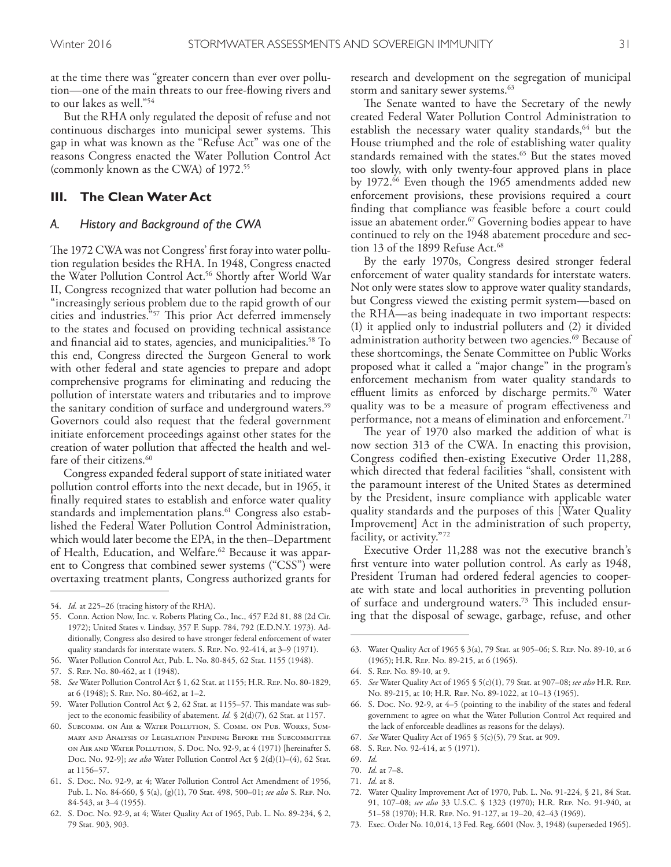at the time there was "greater concern than ever over pollution—one of the main threats to our free-fowing rivers and to our lakes as well."54

But the RHA only regulated the deposit of refuse and not continuous discharges into municipal sewer systems. This gap in what was known as the "Refuse Act" was one of the reasons Congress enacted the Water Pollution Control Act (commonly known as the CWA) of 1972. 55

# **III. The Clean Water Act**

#### *A. History and Background of the CWA*

The 1972 CWA was not Congress' first foray into water pollution regulation besides the RHA. In 1948, Congress enacted the Water Pollution Control Act. 56 Shortly after World War II, Congress recognized that water pollution had become an "increasingly serious problem due to the rapid growth of our cities and industries."<sup>57</sup> This prior Act deferred immensely to the states and focused on providing technical assistance and fnancial aid to states, agencies, and municipalities. 58 To this end, Congress directed the Surgeon General to work with other federal and state agencies to prepare and adopt comprehensive programs for eliminating and reducing the pollution of interstate waters and tributaries and to improve the sanitary condition of surface and underground waters. 59 Governors could also request that the federal government initiate enforcement proceedings against other states for the creation of water pollution that afected the health and welfare of their citizens. 60

Congress expanded federal support of state initiated water pollution control efforts into the next decade, but in 1965, it fnally required states to establish and enforce water quality standards and implementation plans. 61 Congress also established the Federal Water Pollution Control Administration, which would later become the EPA, in the then–Department of Health, Education, and Welfare. 62 Because it was apparent to Congress that combined sewer systems ("CSS") were overtaxing treatment plants, Congress authorized grants for

- 56. Water Pollution Control Act, Pub. L. No. 80-845, 62 Stat. 1155 (1948).
- 57. S. Rep. No. 80-462, at 1 (1948).
- 58. *See* Water Pollution Control Act § 1, 62 Stat. at 1155; H.R. Rep. No. 80-1829, at 6 (1948); S. Rep. No. 80-462, at 1–2.

research and development on the segregation of municipal storm and sanitary sewer systems. 63

The Senate wanted to have the Secretary of the newly created Federal Water Pollution Control Administration to establish the necessary water quality standards,<sup>64</sup> but the House triumphed and the role of establishing water quality standards remained with the states. 65 But the states moved too slowly, with only twenty-four approved plans in place by 1972. 66 Even though the 1965 amendments added new enforcement provisions, these provisions required a court finding that compliance was feasible before a court could issue an abatement order. 67 Governing bodies appear to have continued to rely on the 1948 abatement procedure and section 13 of the 1899 Refuse Act. 68

By the early 1970s, Congress desired stronger federal enforcement of water quality standards for interstate waters. Not only were states slow to approve water quality standards, but Congress viewed the existing permit system—based on the RHA—as being inadequate in two important respects: (1) it applied only to industrial polluters and (2) it divided administration authority between two agencies. 69 Because of these shortcomings, the Senate Committee on Public Works proposed what it called a "major change" in the program's enforcement mechanism from water quality standards to effluent limits as enforced by discharge permits.<sup>70</sup> Water quality was to be a measure of program efectiveness and performance, not a means of elimination and enforcement. 71

The year of 1970 also marked the addition of what is now section 313 of the CWA. In enacting this provision, Congress codifed then-existing Executive Order 11,288, which directed that federal facilities "shall, consistent with the paramount interest of the United States as determined by the President, insure compliance with applicable water quality standards and the purposes of this [Water Quality Improvement] Act in the administration of such property, facility, or activity."72

Executive Order 11,288 was not the executive branch's frst venture into water pollution control. As early as 1948, President Truman had ordered federal agencies to cooperate with state and local authorities in preventing pollution of surface and underground waters.<sup>73</sup> This included ensuring that the disposal of sewage, garbage, refuse, and other

73. Exec. Order No. 10,014, 13 Fed. Reg. 6601 (Nov. 3, 1948) (superseded 1965).

<sup>54.</sup> *Id.* at 225–26 (tracing history of the RHA).

<sup>55.</sup> Conn. Action Now, Inc. v. Roberts Plating Co., Inc., 457 F.2d 81, 88 (2d Cir. 1972); United States v. Lindsay, 357 F. Supp. 784, 792 (E.D.N.Y. 1973). Additionally, Congress also desired to have stronger federal enforcement of water quality standards for interstate waters. S. Rep. No. 92-414, at 3–9 (1971).

<sup>59.</sup> Water Pollution Control Act § 2, 62 Stat. at 1155–57. Tis mandate was subject to the economic feasibility of abatement. *Id.* § 2(d)(7), 62 Stat. at 1157.

<sup>60.</sup> Subcomm. on Air & Water Pollution, S. Comm. on Pub. Works, Summary and Analysis of Legislation Pending Before the Subcommittee on Air and Water Pollution, S. Doc. No. 92-9, at 4 (1971) [hereinafter S. Doc. No. 92-9]; *see also* Water Pollution Control Act § 2(d)(1)–(4), 62 Stat. at 1156–57.

<sup>61.</sup> S. Doc. No. 92-9, at 4; Water Pollution Control Act Amendment of 1956, Pub. L. No. 84-660, § 5(a), (g)(1), 70 Stat. 498, 500–01; *see also* S. Rep. No. 84-543, at 3–4 (1955).

<sup>62.</sup> S. Doc. No. 92-9, at 4; Water Quality Act of 1965, Pub. L. No. 89-234, § 2, 79 Stat. 903, 903.

<sup>63.</sup> Water Quality Act of 1965 § 3(a), 79 Stat. at 905–06; S. Rep. No. 89-10, at 6 (1965); H.R. Rep. No. 89-215, at 6 (1965).

<sup>64.</sup> S. Rep. No. 89-10, at 9.

<sup>65.</sup> *See* Water Quality Act of 1965 § 5(c)(1), 79 Stat. at 907–08; *see also* H.R. Rep. No. 89-215, at 10; H.R. Rep. No. 89-1022, at 10–13 (1965).

<sup>66.</sup> S. Doc. No. 92-9, at 4–5 (pointing to the inability of the states and federal government to agree on what the Water Pollution Control Act required and the lack of enforceable deadlines as reasons for the delays).

<sup>67.</sup> *See* Water Quality Act of 1965 § 5(c)(5), 79 Stat. at 909.

<sup>68.</sup> S. Rep. No. 92-414, at 5 (1971).

<sup>69.</sup> *Id.*

<sup>70.</sup> *Id.* at 7–8.

<sup>71.</sup> *Id.* at 8.

<sup>72.</sup> Water Quality Improvement Act of 1970, Pub. L. No. 91-224, § 21, 84 Stat. 91, 107–08; *see also* 33 U.S.C. § 1323 (1970); H.R. Rep. No. 91-940, at 51–58 (1970); H.R. Rep. No. 91-127, at 19–20, 42–43 (1969).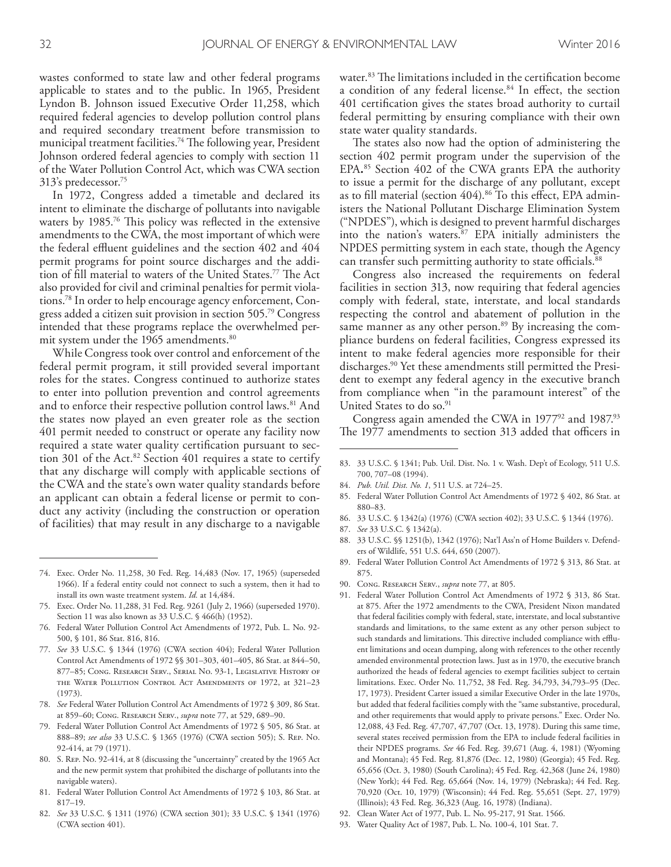wastes conformed to state law and other federal programs applicable to states and to the public. In 1965, President Lyndon B. Johnson issued Executive Order 11,258, which required federal agencies to develop pollution control plans and required secondary treatment before transmission to municipal treatment facilities.<sup>74</sup> The following year, President Johnson ordered federal agencies to comply with section 11 of the Water Pollution Control Act, which was CWA section 313's predecessor. 75

In 1972, Congress added a timetable and declared its intent to eliminate the discharge of pollutants into navigable waters by 1985. <sup>76</sup> Tis policy was refected in the extensive amendments to the CWA, the most important of which were the federal effluent guidelines and the section 402 and 404 permit programs for point source discharges and the addition of fill material to waters of the United States.<sup>77</sup> The Act also provided for civil and criminal penalties for permit violations. 78 In order to help encourage agency enforcement, Congress added a citizen suit provision in section 505. 79 Congress intended that these programs replace the overwhelmed permit system under the 1965 amendments. 80

While Congress took over control and enforcement of the federal permit program, it still provided several important roles for the states. Congress continued to authorize states to enter into pollution prevention and control agreements and to enforce their respective pollution control laws. 81 And the states now played an even greater role as the section 401 permit needed to construct or operate any facility now required a state water quality certifcation pursuant to section 301 of the Act. <sup>82</sup> Section 401 requires a state to certify that any discharge will comply with applicable sections of the CWA and the state's own water quality standards before an applicant can obtain a federal license or permit to conduct any activity (including the construction or operation of facilities) that may result in any discharge to a navigable

- 75. Exec. Order No. 11,288, 31 Fed. Reg. 9261 (July 2, 1966) (superseded 1970). Section 11 was also known as 33 U.S.C. § 466(h) (1952).
- 76. Federal Water Pollution Control Act Amendments of 1972, Pub. L. No. 92- 500, § 101, 86 Stat. 816, 816.
- 77. *See* 33 U.S.C. § 1344 (1976) (CWA section 404); Federal Water Pollution Control Act Amendments of 1972 §§ 301–303, 401–405, 86 Stat. at 844–50, 877–85; Cong. Research Serv., Serial No. 93-1, Legislative History of the Water Pollution Control Act Amendments of 1972, at 321–23 (1973).
- 78. *See* Federal Water Pollution Control Act Amendments of 1972 § 309, 86 Stat. at 859–60; Cong. Research Serv., *supra* note 77, at 529, 689–90.
- 79. Federal Water Pollution Control Act Amendments of 1972 § 505, 86 Stat. at 888–89; *see also* 33 U.S.C. § 1365 (1976) (CWA section 505); S. Rep. No. 92-414, at 79 (1971).
- 80. S. Rep. No. 92-414, at 8 (discussing the "uncertainty" created by the 1965 Act and the new permit system that prohibited the discharge of pollutants into the navigable waters).
- 81. Federal Water Pollution Control Act Amendments of 1972 § 103, 86 Stat. at 817–19.
- 82. *See* 33 U.S.C. § 1311 (1976) (CWA section 301); 33 U.S.C. § 1341 (1976) (CWA section 401).

water.<sup>83</sup> The limitations included in the certification become a condition of any federal license. 84 In efect, the section 401 certifcation gives the states broad authority to curtail federal permitting by ensuring compliance with their own state water quality standards.

The states also now had the option of administering the section 402 permit program under the supervision of the EPA**.** <sup>85</sup> Section 402 of the CWA grants EPA the authority to issue a permit for the discharge of any pollutant, except as to fll material (section 404). 86 To this efect, EPA administers the National Pollutant Discharge Elimination System ("NPDES"), which is designed to prevent harmful discharges into the nation's waters. 87 EPA initially administers the NPDES permitting system in each state, though the Agency can transfer such permitting authority to state officials.<sup>88</sup>

Congress also increased the requirements on federal facilities in section 313, now requiring that federal agencies comply with federal, state, interstate, and local standards respecting the control and abatement of pollution in the same manner as any other person. 89 By increasing the compliance burdens on federal facilities, Congress expressed its intent to make federal agencies more responsible for their discharges. 90 Yet these amendments still permitted the President to exempt any federal agency in the executive branch from compliance when "in the paramount interest" of the United States to do so. 91

Congress again amended the CWA in  $1977<sup>92</sup>$  and  $1987<sup>93</sup>$ The 1977 amendments to section 313 added that officers in

- 83. 33 U.S.C. § 1341; Pub. Util. Dist. No. 1 v. Wash. Dep't of Ecology, 511 U.S. 700, 707–08 (1994).
- 84. *Pub. Util. Dist. No. 1*, 511 U.S. at 724–25.
- 85. Federal Water Pollution Control Act Amendments of 1972 § 402, 86 Stat. at 880–83.
- 86. 33 U.S.C. § 1342(a) (1976) (CWA section 402); 33 U.S.C. § 1344 (1976).
- 87. *See* 33 U.S.C. § 1342(a).
- 88. 33 U.S.C. §§ 1251(b), 1342 (1976); Nat'l Ass'n of Home Builders v. Defenders of Wildlife, 551 U.S. 644, 650 (2007).
- 89. Federal Water Pollution Control Act Amendments of 1972 § 313, 86 Stat. at 875.
- 90. Cong. Research Serv., *supra* note 77, at 805.
- 91. Federal Water Pollution Control Act Amendments of 1972 § 313, 86 Stat. at 875. After the 1972 amendments to the CWA, President Nixon mandated that federal facilities comply with federal, state, interstate, and local substantive standards and limitations, to the same extent as any other person subject to such standards and limitations. This directive included compliance with effluent limitations and ocean dumping, along with references to the other recently amended environmental protection laws. Just as in 1970, the executive branch authorized the heads of federal agencies to exempt facilities subject to certain limitations. Exec. Order No. 11,752, 38 Fed. Reg. 34,793, 34,793–95 (Dec. 17, 1973). President Carter issued a similar Executive Order in the late 1970s, but added that federal facilities comply with the "same substantive, procedural, and other requirements that would apply to private persons." Exec. Order No. 12,088, 43 Fed. Reg. 47,707, 47,707 (Oct. 13, 1978). During this same time, several states received permission from the EPA to include federal facilities in their NPDES programs. *See* 46 Fed. Reg. 39,671 (Aug. 4, 1981) (Wyoming and Montana); 45 Fed. Reg. 81,876 (Dec. 12, 1980) (Georgia); 45 Fed. Reg. 65,656 (Oct. 3, 1980) (South Carolina); 45 Fed. Reg. 42,368 (June 24, 1980) (New York); 44 Fed. Reg. 65,664 (Nov. 14, 1979) (Nebraska); 44 Fed. Reg. 70,920 (Oct. 10, 1979) (Wisconsin); 44 Fed. Reg. 55,651 (Sept. 27, 1979) (Illinois); 43 Fed. Reg. 36,323 (Aug. 16, 1978) (Indiana).
- 92. Clean Water Act of 1977, Pub. L. No. 95-217, 91 Stat. 1566.
- 93. Water Quality Act of 1987, Pub. L. No. 100-4, 101 Stat. 7.

<sup>74.</sup> Exec. Order No. 11,258, 30 Fed. Reg. 14,483 (Nov. 17, 1965) (superseded 1966). If a federal entity could not connect to such a system, then it had to install its own waste treatment system. *Id.* at 14,484.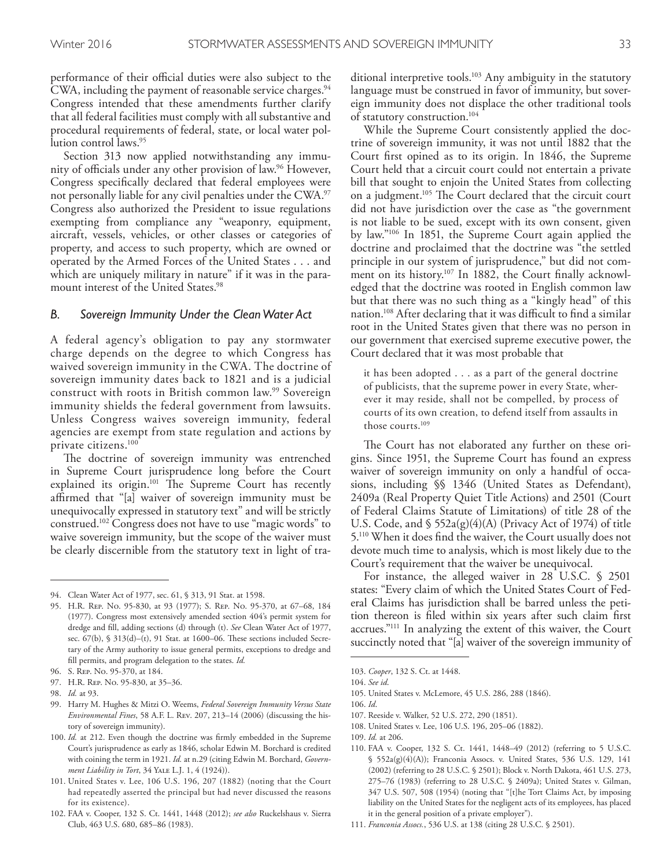performance of their official duties were also subject to the CWA, including the payment of reasonable service charges. 94 Congress intended that these amendments further clarify that all federal facilities must comply with all substantive and procedural requirements of federal, state, or local water pollution control laws. 95

Section 313 now applied notwithstanding any immunity of officials under any other provision of law.<sup>96</sup> However, Congress specifcally declared that federal employees were not personally liable for any civil penalties under the CWA. 97 Congress also authorized the President to issue regulations exempting from compliance any "weaponry, equipment, aircraft, vessels, vehicles, or other classes or categories of property, and access to such property, which are owned or operated by the Armed Forces of the United States . . . and which are uniquely military in nature" if it was in the paramount interest of the United States. 98

#### *B. Sovereign Immunity Under the Clean Water Act*

A federal agency's obligation to pay any stormwater charge depends on the degree to which Congress has waived sovereign immunity in the CWA. The doctrine of sovereign immunity dates back to 1821 and is a judicial construct with roots in British common law. 99 Sovereign immunity shields the federal government from lawsuits. Unless Congress waives sovereign immunity, federal agencies are exempt from state regulation and actions by private citizens. 100

The doctrine of sovereign immunity was entrenched in Supreme Court jurisprudence long before the Court explained its origin.<sup>101</sup> The Supreme Court has recently afrmed that "[a] waiver of sovereign immunity must be unequivocally expressed in statutory text" and will be strictly construed. 102 Congress does not have to use "magic words" to waive sovereign immunity, but the scope of the waiver must be clearly discernible from the statutory text in light of tra-

ditional interpretive tools. 103 Any ambiguity in the statutory language must be construed in favor of immunity, but sovereign immunity does not displace the other traditional tools of statutory construction. 104

While the Supreme Court consistently applied the doctrine of sovereign immunity, it was not until 1882 that the Court frst opined as to its origin. In 1846, the Supreme Court held that a circuit court could not entertain a private bill that sought to enjoin the United States from collecting on a judgment.<sup>105</sup> The Court declared that the circuit court did not have jurisdiction over the case as "the government is not liable to be sued, except with its own consent, given by law."106 In 1851, the Supreme Court again applied the doctrine and proclaimed that the doctrine was "the settled principle in our system of jurisprudence," but did not comment on its history. 107 In 1882, the Court fnally acknowledged that the doctrine was rooted in English common law but that there was no such thing as a "kingly head" of this nation.<sup>108</sup> After declaring that it was difficult to find a similar root in the United States given that there was no person in our government that exercised supreme executive power, the Court declared that it was most probable that

it has been adopted . . . as a part of the general doctrine of publicists, that the supreme power in every State, wherever it may reside, shall not be compelled, by process of courts of its own creation, to defend itself from assaults in those courts. 109

The Court has not elaborated any further on these origins. Since 1951, the Supreme Court has found an express waiver of sovereign immunity on only a handful of occasions, including §§ 1346 (United States as Defendant), 2409a (Real Property Quiet Title Actions) and 2501 (Court of Federal Claims Statute of Limitations) of title 28 of the U.S. Code, and  $\frac{1}{5}$  552a(g)(4)(A) (Privacy Act of 1974) of title 5. 110 When it does fnd the waiver, the Court usually does not devote much time to analysis, which is most likely due to the Court's requirement that the waiver be unequivocal.

For instance, the alleged waiver in 28 U.S.C. § 2501 states: "Every claim of which the United States Court of Federal Claims has jurisdiction shall be barred unless the petition thereon is fled within six years after such claim frst accrues."111 In analyzing the extent of this waiver, the Court succinctly noted that "[a] waiver of the sovereign immunity of

105. United States v. McLemore, 45 U.S. 286, 288 (1846).

107. Reeside v. Walker, 52 U.S. 272, 290 (1851).

<sup>94.</sup> Clean Water Act of 1977, sec. 61, § 313, 91 Stat. at 1598.

<sup>95.</sup> H.R. Rep. No. 95-830, at 93 (1977); S. Rep. No. 95-370, at 67–68, 184 (1977). Congress most extensively amended section 404's permit system for dredge and fll, adding sections (d) through (t). *See* Clean Water Act of 1977, sec.  $67(b)$ , §  $313(d)$ -(t), 91 Stat. at 1600-06. These sections included Secretary of the Army authority to issue general permits, exceptions to dredge and fll permits, and program delegation to the states. *Id.*

<sup>96.</sup> S. Rep. No. 95-370, at 184.

<sup>97.</sup> H.R. Rep. No. 95-830, at 35–36.

<sup>98.</sup> *Id.* at 93.

<sup>99.</sup> Harry M. Hughes & Mitzi O. Weems, *Federal Sovereign Immunity Versus State Environmental Fines*, 58 A.F. L. Rev. 207, 213–14 (2006) (discussing the history of sovereign immunity).

<sup>100.</sup> *Id.* at 212. Even though the doctrine was frmly embedded in the Supreme Court's jurisprudence as early as 1846, scholar Edwin M. Borchard is credited with coining the term in 1921. *Id.* at n.29 (citing Edwin M. Borchard, *Government Liability in Tort*, 34 Yale L.J. 1, 4 (1924)).

<sup>101.</sup> United States v. Lee, 106 U.S. 196, 207 (1882) (noting that the Court had repeatedly asserted the principal but had never discussed the reasons for its existence).

<sup>102.</sup> FAA v. Cooper, 132 S. Ct. 1441, 1448 (2012); *see also* Ruckelshaus v. Sierra Club, 463 U.S. 680, 685–86 (1983).

<sup>103.</sup> *Cooper*, 132 S. Ct. at 1448.

<sup>104.</sup> *See id*.

<sup>106.</sup> *Id*.

<sup>108.</sup> United States v. Lee, 106 U.S. 196, 205–06 (1882).

<sup>109.</sup> *Id.* at 206.

<sup>110.</sup> FAA v. Cooper, 132 S. Ct. 1441, 1448–49 (2012) (referring to 5 U.S.C. § 552a(g)(4)(A)); Franconia Assocs. v. United States, 536 U.S. 129, 141 (2002) (referring to 28 U.S.C. § 2501); Block v. North Dakota, 461 U.S. 273, 275–76 (1983) (referring to 28 U.S.C. § 2409a); United States v. Gilman, 347 U.S. 507, 508 (1954) (noting that "[t]he Tort Claims Act, by imposing liability on the United States for the negligent acts of its employees, has placed it in the general position of a private employer").

<sup>111.</sup> *Franconia Assocs.*, 536 U.S. at 138 (citing 28 U.S.C. § 2501).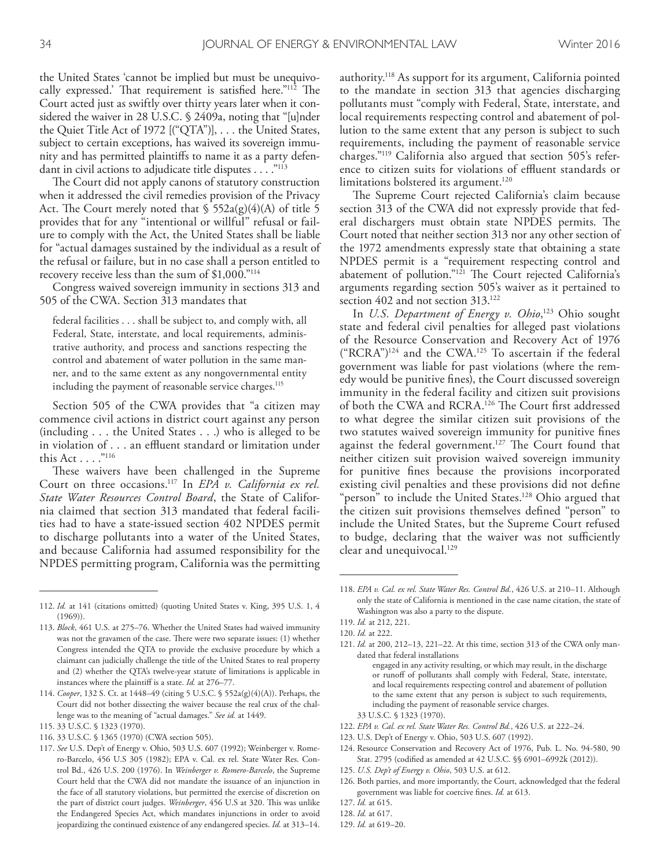the United States 'cannot be implied but must be unequivocally expressed.' That requirement is satisfied here."<sup>112</sup> The Court acted just as swiftly over thirty years later when it considered the waiver in 28 U.S.C. § 2409a, noting that "[u]nder the Quiet Title Act of 1972 [("QTA")], . . . the United States, subject to certain exceptions, has waived its sovereign immunity and has permitted plaintifs to name it as a party defendant in civil actions to adjudicate title disputes . . . . "<sup>113</sup>

The Court did not apply canons of statutory construction when it addressed the civil remedies provision of the Privacy Act. The Court merely noted that  $\frac{1}{5}$  552a(g)(4)(A) of title 5 provides that for any "intentional or willful" refusal or failure to comply with the Act, the United States shall be liable for "actual damages sustained by the individual as a result of the refusal or failure, but in no case shall a person entitled to recovery receive less than the sum of \$1,000."114

Congress waived sovereign immunity in sections 313 and 505 of the CWA. Section 313 mandates that

federal facilities . . . shall be subject to, and comply with, all Federal, State, interstate, and local requirements, administrative authority, and process and sanctions respecting the control and abatement of water pollution in the same manner, and to the same extent as any nongovernmental entity including the payment of reasonable service charges. 115

Section 505 of the CWA provides that "a citizen may commence civil actions in district court against any person (including . . . the United States . . .) who is alleged to be in violation of . . . an effluent standard or limitation under this Act . . . . "116

These waivers have been challenged in the Supreme Court on three occasions. 117 In *EPA v. California ex rel. State Water Resources Control Board*, the State of California claimed that section 313 mandated that federal facilities had to have a state-issued section 402 NPDES permit to discharge pollutants into a water of the United States, and because California had assumed responsibility for the NPDES permitting program, California was the permitting

authority. 118 As support for its argument, California pointed to the mandate in section 313 that agencies discharging pollutants must "comply with Federal, State, interstate, and local requirements respecting control and abatement of pollution to the same extent that any person is subject to such requirements, including the payment of reasonable service charges."119 California also argued that section 505's reference to citizen suits for violations of effluent standards or limitations bolstered its argument. 120

The Supreme Court rejected California's claim because section 313 of the CWA did not expressly provide that federal dischargers must obtain state NPDES permits. The Court noted that neither section 313 nor any other section of the 1972 amendments expressly state that obtaining a state NPDES permit is a "requirement respecting control and abatement of pollution."<sup>121</sup> The Court rejected California's arguments regarding section 505's waiver as it pertained to section 402 and not section 313. 122

In *U.S. Department of Energy v. Ohio*, 123 Ohio sought state and federal civil penalties for alleged past violations of the Resource Conservation and Recovery Act of 1976  $("RCRA")^{124}$  and the CWA.<sup>125</sup> To ascertain if the federal government was liable for past violations (where the remedy would be punitive fnes), the Court discussed sovereign immunity in the federal facility and citizen suit provisions of both the CWA and RCRA.<sup>126</sup> The Court first addressed to what degree the similar citizen suit provisions of the two statutes waived sovereign immunity for punitive fnes against the federal government.<sup>127</sup> The Court found that neither citizen suit provision waived sovereign immunity for punitive fnes because the provisions incorporated existing civil penalties and these provisions did not defne "person" to include the United States. 128 Ohio argued that the citizen suit provisions themselves defned "person" to include the United States, but the Supreme Court refused to budge, declaring that the waiver was not sufficiently clear and unequivocal. 129

- 33 U.S.C. § 1323 (1970).
- 122. *EPA v. Cal. ex rel. State Water Res. Control Bd.*, 426 U.S. at 222–24.
- 123. U.S. Dep't of Energy v. Ohio, 503 U.S. 607 (1992).
- 124. Resource Conservation and Recovery Act of 1976, Pub. L. No. 94-580, 90 Stat. 2795 (codifed as amended at 42 U.S.C. §§ 6901–6992k (2012)).
- 125. *U.S. Dep't of Energy v. Ohio*, 503 U.S. at 612.
- 126. Both parties, and more importantly, the Court, acknowledged that the federal government was liable for coercive fnes. *Id.* at 613.

- 128. *Id.* at 617.
- 129. *Id.* at 619–20.

<sup>112.</sup> *Id.* at 141 (citations omitted) (quoting United States v. King, 395 U.S. 1, 4 (1969)).

<sup>113.</sup> *Block*, 461 U.S. at 275–76. Whether the United States had waived immunity was not the gravamen of the case. There were two separate issues: (1) whether Congress intended the QTA to provide the exclusive procedure by which a claimant can judicially challenge the title of the United States to real property and (2) whether the QTA's twelve-year statute of limitations is applicable in instances where the plaintif is a state. *Id.* at 276–77.

<sup>114.</sup> *Cooper*, 132 S. Ct. at 1448–49 (citing 5 U.S.C. § 552a(g)(4)(A)). Perhaps, the Court did not bother dissecting the waiver because the real crux of the challenge was to the meaning of "actual damages." *See id.* at 1449.

<sup>115.</sup> 33 U.S.C. § 1323 (1970).

<sup>116.</sup> 33 U.S.C. § 1365 (1970) (CWA section 505).

<sup>117.</sup> *See* U.S. Dep't of Energy v. Ohio, 503 U.S. 607 (1992); Weinberger v. Romero-Barcelo, 456 U.S 305 (1982); EPA v. Cal. ex rel. State Water Res. Control Bd., 426 U.S. 200 (1976). In *Weinberger v. Romero-Barcelo*, the Supreme Court held that the CWA did not mandate the issuance of an injunction in the face of all statutory violations, but permitted the exercise of discretion on the part of district court judges. *Weinberger*, 456 U.S at 320. This was unlike the Endangered Species Act, which mandates injunctions in order to avoid jeopardizing the continued existence of any endangered species. *Id.* at 313–14.

<sup>118.</sup> *EPA v. Cal. ex rel. State Water Res. Control Bd.*, 426 U.S. at 210–11. Although only the state of California is mentioned in the case name citation, the state of Washington was also a party to the dispute.

<sup>119.</sup> *Id.* at 212, 221.

<sup>120.</sup> *Id.* at 222.

<sup>121.</sup> *Id.* at 200, 212–13, 221–22. At this time, section 313 of the CWA only mandated that federal installations

engaged in any activity resulting, or which may result, in the discharge or runoff of pollutants shall comply with Federal, State, interstate, and local requirements respecting control and abatement of pollution to the same extent that any person is subject to such requirements, including the payment of reasonable service charges.

<sup>127.</sup> *Id.* at 615.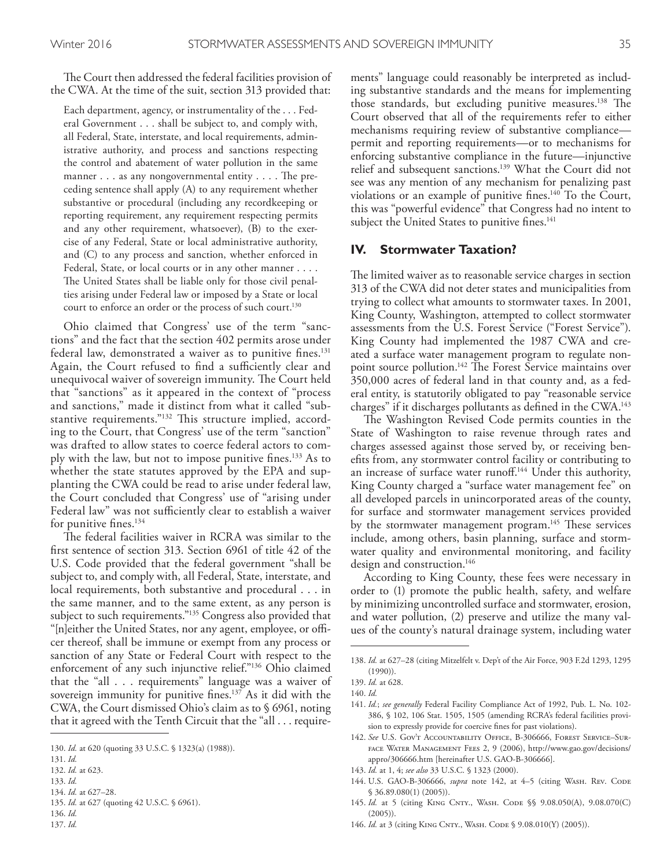The Court then addressed the federal facilities provision of the CWA. At the time of the suit, section 313 provided that:

Each department, agency, or instrumentality of the . . . Federal Government . . . shall be subject to, and comply with, all Federal, State, interstate, and local requirements, administrative authority, and process and sanctions respecting the control and abatement of water pollution in the same manner  $\dots$  as any nongovernmental entity  $\dots$ . The preceding sentence shall apply (A) to any requirement whether substantive or procedural (including any recordkeeping or reporting requirement, any requirement respecting permits and any other requirement, whatsoever), (B) to the exercise of any Federal, State or local administrative authority, and (C) to any process and sanction, whether enforced in Federal, State, or local courts or in any other manner . . . . The United States shall be liable only for those civil penalties arising under Federal law or imposed by a State or local court to enforce an order or the process of such court. 130

Ohio claimed that Congress' use of the term "sanctions" and the fact that the section 402 permits arose under federal law, demonstrated a waiver as to punitive fnes. 131 Again, the Court refused to find a sufficiently clear and unequivocal waiver of sovereign immunity. The Court held that "sanctions" as it appeared in the context of "process and sanctions," made it distinct from what it called "substantive requirements."<sup>132</sup> This structure implied, according to the Court, that Congress' use of the term "sanction" was drafted to allow states to coerce federal actors to comply with the law, but not to impose punitive fnes. 133 As to whether the state statutes approved by the EPA and supplanting the CWA could be read to arise under federal law, the Court concluded that Congress' use of "arising under Federal law" was not sufficiently clear to establish a waiver for punitive fnes. 134

The federal facilities waiver in RCRA was similar to the frst sentence of section 313. Section 6961 of title 42 of the U.S. Code provided that the federal government "shall be subject to, and comply with, all Federal, State, interstate, and local requirements, both substantive and procedural . . . in the same manner, and to the same extent, as any person is subject to such requirements."<sup>135</sup> Congress also provided that "[n]either the United States, nor any agent, employee, or officer thereof, shall be immune or exempt from any process or sanction of any State or Federal Court with respect to the enforcement of any such injunctive relief."136 Ohio claimed that the "all . . . requirements" language was a waiver of sovereign immunity for punitive fnes. 137 As it did with the CWA, the Court dismissed Ohio's claim as to § 6961, noting that it agreed with the Tenth Circuit that the "all . . . require-

135. *Id.* at 627 (quoting 42 U.S.C. § 6961).

ments" language could reasonably be interpreted as including substantive standards and the means for implementing those standards, but excluding punitive measures.<sup>138</sup> The Court observed that all of the requirements refer to either mechanisms requiring review of substantive compliance permit and reporting requirements—or to mechanisms for enforcing substantive compliance in the future—injunctive relief and subsequent sanctions. 139 What the Court did not see was any mention of any mechanism for penalizing past violations or an example of punitive fines.<sup>140</sup> To the Court, this was "powerful evidence" that Congress had no intent to subject the United States to punitive fnes. 141

#### **IV. Stormwater Taxation?**

The limited waiver as to reasonable service charges in section 313 of the CWA did not deter states and municipalities from trying to collect what amounts to stormwater taxes. In 2001, King County, Washington, attempted to collect stormwater assessments from the U.S. Forest Service ("Forest Service"). King County had implemented the 1987 CWA and created a surface water management program to regulate nonpoint source pollution.<sup>142</sup> The Forest Service maintains over 350,000 acres of federal land in that county and, as a federal entity, is statutorily obligated to pay "reasonable service charges" if it discharges pollutants as defined in the CWA.<sup>143</sup>

The Washington Revised Code permits counties in the State of Washington to raise revenue through rates and charges assessed against those served by, or receiving benefts from, any stormwater control facility or contributing to an increase of surface water runoff.<sup>144</sup> Under this authority, King County charged a "surface water management fee" on all developed parcels in unincorporated areas of the county, for surface and stormwater management services provided by the stormwater management program.<sup>145</sup> These services include, among others, basin planning, surface and stormwater quality and environmental monitoring, and facility design and construction. 146

According to King County, these fees were necessary in order to (1) promote the public health, safety, and welfare by minimizing uncontrolled surface and stormwater, erosion, and water pollution, (2) preserve and utilize the many values of the county's natural drainage system, including water

- 143. *Id.* at 1, 4; *see also* 33 U.S.C. § 1323 (2000).
- 144. U.S. GAO-B-306666, *supra* note 142, at 4-5 (citing WASH. REV. CODE § 36.89.080(1) (2005)).
- 145. Id. at 5 (citing KING CNTY., WASH. CODE §§ 9.08.050(A), 9.08.070(C)  $(2005)$
- 146. *Id.* at 3 (citing KING CNTY., WASH. CODE § 9.08.010(Y) (2005)).

<sup>130.</sup> *Id.* at 620 (quoting 33 U.S.C. § 1323(a) (1988)).

<sup>131.</sup> *Id.*

<sup>132.</sup> *Id.* at 623.

<sup>133.</sup> *Id.*

<sup>134.</sup> *Id.* at 627–28.

<sup>136.</sup> *Id.* 137. *Id.*

<sup>138.</sup> *Id.* at 627–28 (citing Mitzelfelt v. Dep't of the Air Force, 903 F.2d 1293, 1295 (1990)).

<sup>139.</sup> *Id.* at 628.

<sup>140.</sup> *Id.*

<sup>141.</sup> *Id.*; *see generally* Federal Facility Compliance Act of 1992, Pub. L. No. 102- 386, § 102, 106 Stat. 1505, 1505 (amending RCRA's federal facilities provision to expressly provide for coercive fnes for past violations).

<sup>142.</sup> *See* U.S. Gov't Accountability Office, B-306666, Forest Service–Surface Water Management Fees 2, 9 (2006), http://www.gao.gov/decisions/ appro/306666.htm [hereinafter U.S. GAO-B-306666].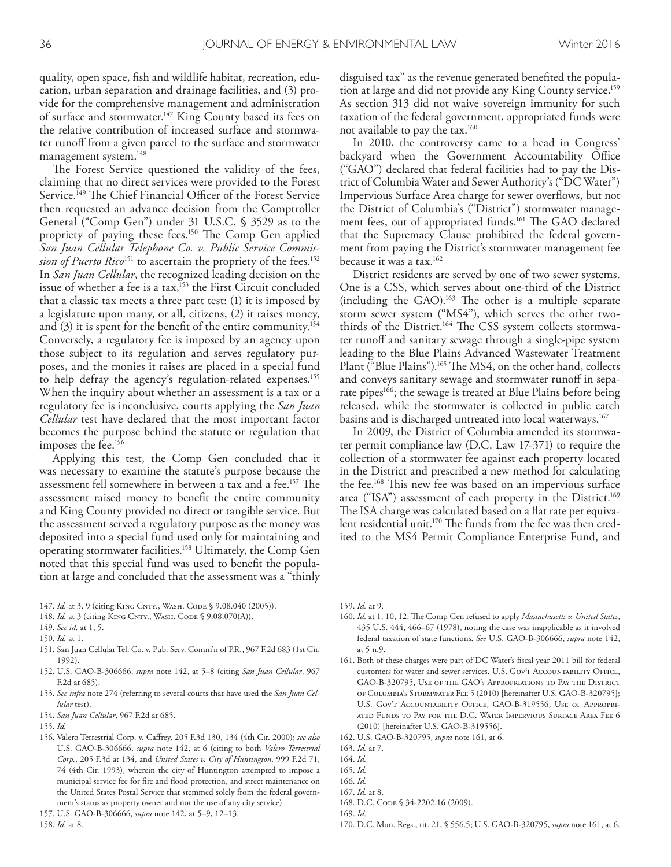quality, open space, fsh and wildlife habitat, recreation, education, urban separation and drainage facilities, and (3) provide for the comprehensive management and administration of surface and stormwater. 147 King County based its fees on the relative contribution of increased surface and stormwater runoff from a given parcel to the surface and stormwater management system. 148

The Forest Service questioned the validity of the fees, claiming that no direct services were provided to the Forest Service.<sup>149</sup> The Chief Financial Officer of the Forest Service then requested an advance decision from the Comptroller General ("Comp Gen") under 31 U.S.C. § 3529 as to the propriety of paying these fees.<sup>150</sup> The Comp Gen applied *San Juan Cellular Telephone Co. v. Public Service Commission of Puerto Rico*151 to ascertain the propriety of the fees. 152 In *San Juan Cellular*, the recognized leading decision on the issue of whether a fee is a  $\text{tax},^{153}$  the First Circuit concluded that a classic tax meets a three part test: (1) it is imposed by a legislature upon many, or all, citizens, (2) it raises money, and (3) it is spent for the beneft of the entire community. 154 Conversely, a regulatory fee is imposed by an agency upon those subject to its regulation and serves regulatory purposes, and the monies it raises are placed in a special fund to help defray the agency's regulation-related expenses. 155 When the inquiry about whether an assessment is a tax or a regulatory fee is inconclusive, courts applying the *San Juan Cellular* test have declared that the most important factor becomes the purpose behind the statute or regulation that imposes the fee. 156

Applying this test, the Comp Gen concluded that it was necessary to examine the statute's purpose because the assessment fell somewhere in between a tax and a fee.<sup>157</sup> The assessment raised money to beneft the entire community and King County provided no direct or tangible service. But the assessment served a regulatory purpose as the money was deposited into a special fund used only for maintaining and operating stormwater facilities. 158 Ultimately, the Comp Gen noted that this special fund was used to beneft the population at large and concluded that the assessment was a "thinly

- 152. U.S. GAO-B-306666, *supra* note 142, at 5–8 (citing *San Juan Cellular*, 967 F.2d at 685).
- 153. *See infra* note 274 (referring to several courts that have used the *San Juan Cellular* test).
- 154. *San Juan Cellular*, 967 F.2d at 685.

disguised tax" as the revenue generated benefted the population at large and did not provide any King County service. 159 As section 313 did not waive sovereign immunity for such taxation of the federal government, appropriated funds were not available to pay the tax. 160

In 2010, the controversy came to a head in Congress' backyard when the Government Accountability Office ("GAO") declared that federal facilities had to pay the District of Columbia Water and Sewer Authority's ("DC Water") Impervious Surface Area charge for sewer overflows, but not the District of Columbia's ("District") stormwater management fees, out of appropriated funds.<sup>161</sup> The GAO declared that the Supremacy Clause prohibited the federal government from paying the District's stormwater management fee because it was a tax. 162

District residents are served by one of two sewer systems. One is a CSS, which serves about one-third of the District  $(including the GAO).$ <sup>163</sup> The other is a multiple separate storm sewer system ("MS4"), which serves the other twothirds of the District.<sup>164</sup> The CSS system collects stormwater runoff and sanitary sewage through a single-pipe system leading to the Blue Plains Advanced Wastewater Treatment Plant ("Blue Plains").<sup>165</sup> The MS4, on the other hand, collects and conveys sanitary sewage and stormwater runoff in separate pipes<sup>166</sup>; the sewage is treated at Blue Plains before being released, while the stormwater is collected in public catch basins and is discharged untreated into local waterways. 167

In 2009, the District of Columbia amended its stormwater permit compliance law (D.C. Law 17-371) to require the collection of a stormwater fee against each property located in the District and prescribed a new method for calculating the fee. <sup>168</sup> Tis new fee was based on an impervious surface area ("ISA") assessment of each property in the District. 169 The ISA charge was calculated based on a flat rate per equivalent residential unit.<sup>170</sup> The funds from the fee was then credited to the MS4 Permit Compliance Enterprise Fund, and

166. *Id.*

- 169. *Id.*
- 170. D.C. Mun. Regs., tit. 21, § 556.5; U.S. GAO-B-320795, *supra* note 161, at 6.

<sup>147.</sup> *Id.* at 3, 9 (citing KING CNTY., WASH. CODE § 9.08.040 (2005)).

<sup>148.</sup> *Id.* at 3 (citing KING CNTY., WASH. CODE § 9.08.070(A)).

<sup>149.</sup> *See id.* at 1, 5.

<sup>150.</sup> *Id.* at 1.

<sup>151.</sup> San Juan Cellular Tel. Co. v. Pub. Serv. Comm'n of P.R., 967 F.2d 683 (1st Cir. 1992).

<sup>155.</sup> *Id.*

<sup>156.</sup> Valero Terrestrial Corp. v. Cafrey, 205 F.3d 130, 134 (4th Cir. 2000); *see also* U.S. GAO-B-306666, *supra* note 142, at 6 (citing to both *Valero Terrestrial Corp.*, 205 F.3d at 134, and *United States v. City of Huntington*, 999 F.2d 71, 74 (4th Cir. 1993), wherein the city of Huntington attempted to impose a municipal service fee for fre and food protection, and street maintenance on the United States Postal Service that stemmed solely from the federal government's status as property owner and not the use of any city service).

<sup>157.</sup> U.S. GAO-B-306666, *supra* note 142, at 5–9, 12–13.

<sup>159.</sup> *Id.* at 9.

<sup>160.</sup> *Id.* at 1, 10, 12. The Comp Gen refused to apply *Massachusetts v. United States*, 435 U.S. 444, 466–67 (1978), noting the case was inapplicable as it involved federal taxation of state functions. *See* U.S. GAO-B-306666, *supra* note 142, at 5 n.9.

<sup>161.</sup> Both of these charges were part of DC Water's fscal year 2011 bill for federal customers for water and sewer services. U.S. Gov't Accountability Office. GAO-B-320795, Use of the GAO's Appropriations to Pay the District of Columbia's Stormwater Fee 5 (2010) [hereinafter U.S. GAO-B-320795]; U.S. Gov't Accountability Office, GAO-B-319556, Use of Appropriated Funds to Pay for the D.C. Water Impervious Surface Area Fee 6 (2010) [hereinafter U.S. GAO-B-319556].

<sup>162.</sup> U.S. GAO-B-320795, *supra* note 161, at 6.

<sup>163.</sup> *Id.* at 7.

<sup>164.</sup> *Id.*

<sup>165.</sup> *Id.*

<sup>167.</sup> *Id.* at 8.

<sup>168.</sup> D.C. CODE § 34-2202.16 (2009).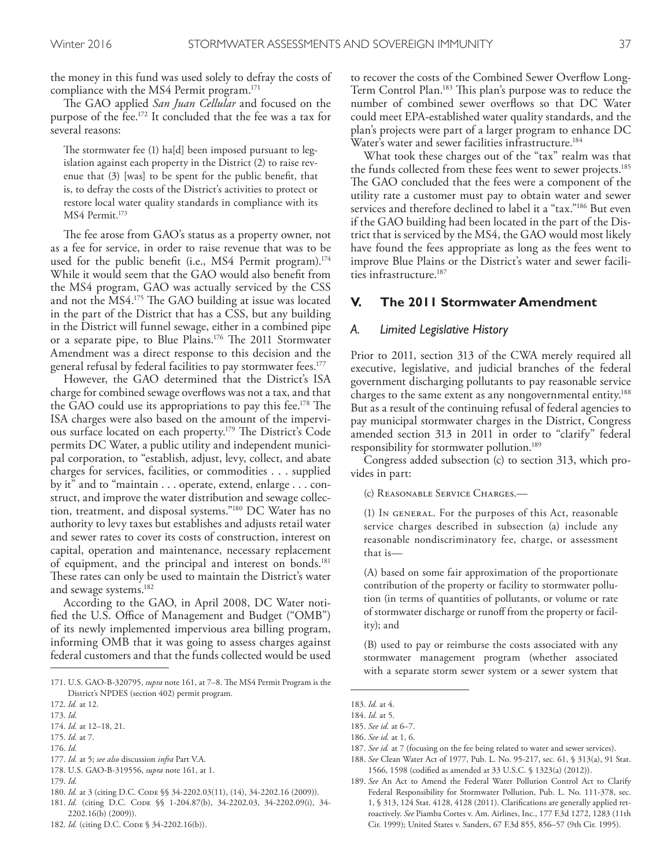the money in this fund was used solely to defray the costs of compliance with the MS4 Permit program. 171

The GAO applied *San Juan Cellular* and focused on the purpose of the fee. 172 It concluded that the fee was a tax for several reasons:

The stormwater fee (1) ha[d] been imposed pursuant to legislation against each property in the District (2) to raise revenue that (3) [was] to be spent for the public beneft, that is, to defray the costs of the District's activities to protect or restore local water quality standards in compliance with its MS4 Permit. 173

The fee arose from GAO's status as a property owner, not as a fee for service, in order to raise revenue that was to be used for the public beneft (i.e., MS4 Permit program). 174 While it would seem that the GAO would also beneft from the MS4 program, GAO was actually serviced by the CSS and not the MS4.<sup>175</sup> The GAO building at issue was located in the part of the District that has a CSS, but any building in the District will funnel sewage, either in a combined pipe or a separate pipe, to Blue Plains.<sup>176</sup> The 2011 Stormwater Amendment was a direct response to this decision and the general refusal by federal facilities to pay stormwater fees. 177

However, the GAO determined that the District's ISA charge for combined sewage overfows was not a tax, and that the GAO could use its appropriations to pay this fee.<sup>178</sup> The ISA charges were also based on the amount of the impervious surface located on each property.<sup>179</sup> The District's Code permits DC Water, a public utility and independent municipal corporation, to "establish, adjust, levy, collect, and abate charges for services, facilities, or commodities . . . supplied by it" and to "maintain . . . operate, extend, enlarge . . . construct, and improve the water distribution and sewage collection, treatment, and disposal systems."180 DC Water has no authority to levy taxes but establishes and adjusts retail water and sewer rates to cover its costs of construction, interest on capital, operation and maintenance, necessary replacement of equipment, and the principal and interest on bonds. 181 These rates can only be used to maintain the District's water and sewage systems. 182

According to the GAO, in April 2008, DC Water notified the U.S. Office of Management and Budget ("OMB") of its newly implemented impervious area billing program, informing OMB that it was going to assess charges against federal customers and that the funds collected would be used

- 175. *Id.* at 7.
- 176. *Id.*
- 177. *Id.* at 5; *see also* discussion *infra* Part V.A. 178. U.S. GAO-B-319556, *supra* note 161, at 1.
- 179. *Id.*

- 181. *Id.* (citing D.C. CODE §§ 1-204.87(b), 34-2202.03, 34-2202.09(i), 34-2202.16(b) (2009)).
- 182. *Id.* (citing D.C. CODE § 34-2202.16(b)).

to recover the costs of the Combined Sewer Overfow Long-Term Control Plan.<sup>183</sup> This plan's purpose was to reduce the number of combined sewer overflows so that DC Water could meet EPA-established water quality standards, and the plan's projects were part of a larger program to enhance DC Water's water and sewer facilities infrastructure. 184

What took these charges out of the "tax" realm was that the funds collected from these fees went to sewer projects. 185 The GAO concluded that the fees were a component of the utility rate a customer must pay to obtain water and sewer services and therefore declined to label it a "tax."186 But even if the GAO building had been located in the part of the District that is serviced by the MS4, the GAO would most likely have found the fees appropriate as long as the fees went to improve Blue Plains or the District's water and sewer facilities infrastructure. 187

# **V. The 2011 Stormwater Amendment**

#### *A. Limited Legislative History*

Prior to 2011, section 313 of the CWA merely required all executive, legislative, and judicial branches of the federal government discharging pollutants to pay reasonable service charges to the same extent as any nongovernmental entity. 188 But as a result of the continuing refusal of federal agencies to pay municipal stormwater charges in the District, Congress amended section 313 in 2011 in order to "clarify" federal responsibility for stormwater pollution. 189

Congress added subsection (c) to section 313, which provides in part:

(c) Reasonable Service Charges.—

(1) In general. For the purposes of this Act, reasonable service charges described in subsection (a) include any reasonable nondiscriminatory fee, charge, or assessment that is—

(A) based on some fair approximation of the proportionate contribution of the property or facility to stormwater pollution (in terms of quantities of pollutants, or volume or rate of stormwater discharge or runof from the property or facility); and

(B) used to pay or reimburse the costs associated with any stormwater management program (whether associated with a separate storm sewer system or a sewer system that

- 186. *See id.* at 1, 6.
- 187. *See id.* at 7 (focusing on the fee being related to water and sewer services).
- 188. *See* Clean Water Act of 1977, Pub. L. No. 95-217, sec. 61, § 313(a), 91 Stat. 1566, 1598 (codifed as amended at 33 U.S.C. § 1323(a) (2012)).
- 189. *See* An Act to Amend the Federal Water Pollution Control Act to Clarify Federal Responsibility for Stormwater Pollution, Pub. L. No. 111-378, sec. 1, § 313, 124 Stat. 4128, 4128 (2011). Clarifcations are generally applied retroactively. *See* Piamba Cortes v. Am. Airlines, Inc., 177 F.3d 1272, 1283 (11th Cir. 1999); United States v. Sanders, 67 F.3d 855, 856–57 (9th Cir. 1995).

<sup>171.</sup> U.S. GAO-B-320795, *supra* note 161, at 7-8. The MS4 Permit Program is the District's NPDES (section 402) permit program.

<sup>172.</sup> *Id.* at 12.

<sup>173.</sup> *Id.*

<sup>174.</sup> *Id.* at 12–18, 21.

<sup>180.</sup> *Id.* at 3 (citing D.C. CODE §§ 34-2202.03(11), (14), 34-2202.16 (2009)).

<sup>183.</sup> *Id.* at 4.

<sup>184.</sup> *Id.* at 5.

<sup>185.</sup> *See id.* at 6–7.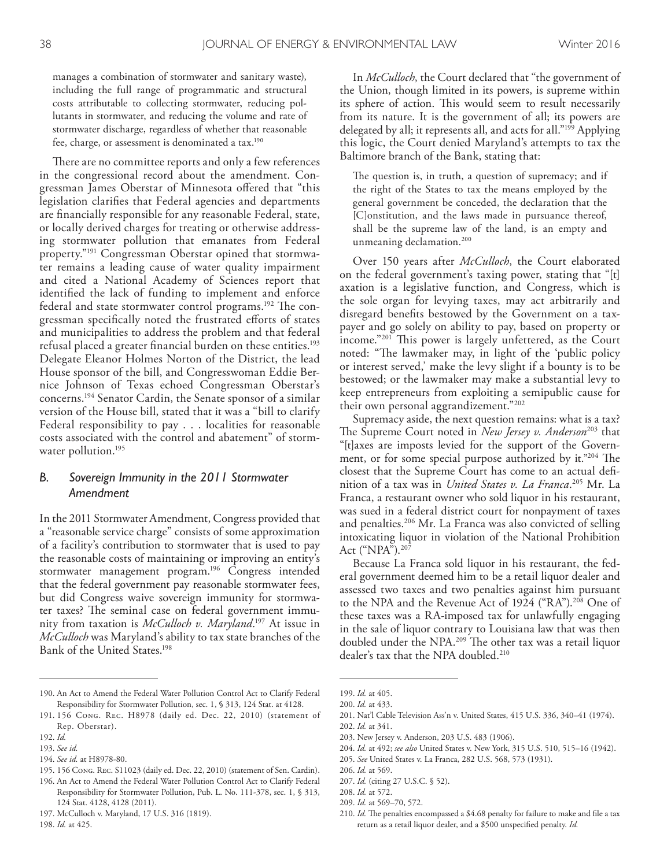manages a combination of stormwater and sanitary waste), including the full range of programmatic and structural costs attributable to collecting stormwater, reducing pollutants in stormwater, and reducing the volume and rate of stormwater discharge, regardless of whether that reasonable fee, charge, or assessment is denominated a tax. 190

There are no committee reports and only a few references in the congressional record about the amendment. Congressman James Oberstar of Minnesota ofered that "this legislation clarifes that Federal agencies and departments are fnancially responsible for any reasonable Federal, state, or locally derived charges for treating or otherwise addressing stormwater pollution that emanates from Federal property."191 Congressman Oberstar opined that stormwater remains a leading cause of water quality impairment and cited a National Academy of Sciences report that identifed the lack of funding to implement and enforce federal and state stormwater control programs.<sup>192</sup> The congressman specifically noted the frustrated efforts of states and municipalities to address the problem and that federal refusal placed a greater fnancial burden on these entities. 193 Delegate Eleanor Holmes Norton of the District, the lead House sponsor of the bill, and Congresswoman Eddie Bernice Johnson of Texas echoed Congressman Oberstar's concerns. 194 Senator Cardin, the Senate sponsor of a similar version of the House bill, stated that it was a "bill to clarify Federal responsibility to pay . . . localities for reasonable costs associated with the control and abatement" of stormwater pollution. 195

# *B. Sovereign Immunity in the 2011 Stormwater Amendment*

In the 2011 Stormwater Amendment, Congress provided that a "reasonable service charge" consists of some approximation of a facility's contribution to stormwater that is used to pay the reasonable costs of maintaining or improving an entity's stormwater management program. 196 Congress intended that the federal government pay reasonable stormwater fees, but did Congress waive sovereign immunity for stormwater taxes? The seminal case on federal government immunity from taxation is *McCulloch v. Maryland*. 197 At issue in *McCulloch* was Maryland's ability to tax state branches of the Bank of the United States. 198

195. 156 Cong. Rec. S11023 (daily ed. Dec. 22, 2010) (statement of Sen. Cardin).

197. McCulloch v. Maryland, 17 U.S. 316 (1819).

In *McCulloch*, the Court declared that "the government of the Union, though limited in its powers, is supreme within its sphere of action. This would seem to result necessarily from its nature. It is the government of all; its powers are delegated by all; it represents all, and acts for all."199 Applying this logic, the Court denied Maryland's attempts to tax the Baltimore branch of the Bank, stating that:

The question is, in truth, a question of supremacy; and if the right of the States to tax the means employed by the general government be conceded, the declaration that the [C]onstitution, and the laws made in pursuance thereof, shall be the supreme law of the land, is an empty and unmeaning declamation. 200

Over 150 years after *McCulloch*, the Court elaborated on the federal government's taxing power, stating that "[t] axation is a legislative function, and Congress, which is the sole organ for levying taxes, may act arbitrarily and disregard benefts bestowed by the Government on a taxpayer and go solely on ability to pay, based on property or income."<sup>201</sup> This power is largely unfettered, as the Court noted: "The lawmaker may, in light of the 'public policy or interest served,' make the levy slight if a bounty is to be bestowed; or the lawmaker may make a substantial levy to keep entrepreneurs from exploiting a semipublic cause for their own personal aggrandizement."202

Supremacy aside, the next question remains: what is a tax? The Supreme Court noted in *New Jersey v. Anderson*<sup>203</sup> that "[t]axes are imposts levied for the support of the Government, or for some special purpose authorized by it."204 The closest that the Supreme Court has come to an actual defnition of a tax was in *United States v. La Franca*. 205 Mr. La Franca, a restaurant owner who sold liquor in his restaurant, was sued in a federal district court for nonpayment of taxes and penalties. 206 Mr. La Franca was also convicted of selling intoxicating liquor in violation of the National Prohibition Act ("NPA"). 207

Because La Franca sold liquor in his restaurant, the federal government deemed him to be a retail liquor dealer and assessed two taxes and two penalties against him pursuant to the NPA and the Revenue Act of 1924 ("RA"). 208 One of these taxes was a RA-imposed tax for unlawfully engaging in the sale of liquor contrary to Louisiana law that was then doubled under the NPA.<sup>209</sup> The other tax was a retail liquor dealer's tax that the NPA doubled. 210

203. New Jersey v. Anderson, 203 U.S. 483 (1906).

208. *Id.* at 572.

<sup>190.</sup> An Act to Amend the Federal Water Pollution Control Act to Clarify Federal Responsibility for Stormwater Pollution, sec. 1, § 313, 124 Stat. at 4128.

<sup>191.</sup> 156 Cong. Rec. H8978 (daily ed. Dec. 22, 2010) (statement of Rep. Oberstar).

<sup>192.</sup> *Id.*

<sup>193.</sup> *See id.*

<sup>194.</sup> *See id.* at H8978-80.

<sup>196.</sup> An Act to Amend the Federal Water Pollution Control Act to Clarify Federal Responsibility for Stormwater Pollution, Pub. L. No. 111-378, sec. 1, § 313, 124 Stat. 4128, 4128 (2011).

<sup>198.</sup> *Id.* at 425.

<sup>199.</sup> *Id.* at 405.

<sup>200.</sup> *Id.* at 433.

<sup>201.</sup> Nat'l Cable Television Ass'n v. United States, 415 U.S. 336, 340–41 (1974).

<sup>202.</sup> *Id.* at 341.

<sup>204.</sup> *Id.* at 492; *see also* United States v. New York, 315 U.S. 510, 515–16 (1942).

<sup>205.</sup> *See* United States v. La Franca, 282 U.S. 568, 573 (1931).

<sup>206.</sup> *Id.* at 569.

<sup>207.</sup> *Id.* (citing 27 U.S.C. § 52).

<sup>209.</sup> *Id.* at 569–70, 572.

<sup>210.</sup> *Id.* The penalties encompassed a \$4.68 penalty for failure to make and file a tax return as a retail liquor dealer, and a \$500 unspecifed penalty. *Id.*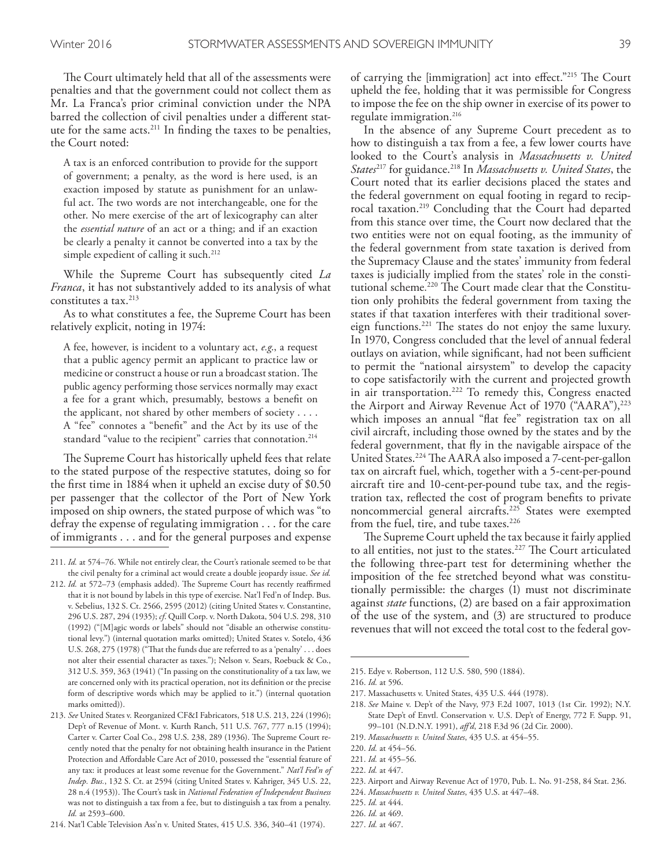The Court ultimately held that all of the assessments were penalties and that the government could not collect them as Mr. La Franca's prior criminal conviction under the NPA barred the collection of civil penalties under a diferent statute for the same acts. 211 In fnding the taxes to be penalties, the Court noted:

A tax is an enforced contribution to provide for the support of government; a penalty, as the word is here used, is an exaction imposed by statute as punishment for an unlawful act. The two words are not interchangeable, one for the other. No mere exercise of the art of lexicography can alter the *essential nature* of an act or a thing; and if an exaction be clearly a penalty it cannot be converted into a tax by the simple expedient of calling it such. 212

While the Supreme Court has subsequently cited *La Franca*, it has not substantively added to its analysis of what constitutes a tax. 213

As to what constitutes a fee, the Supreme Court has been relatively explicit, noting in 1974:

A fee, however, is incident to a voluntary act, *e.g*., a request that a public agency permit an applicant to practice law or medicine or construct a house or run a broadcast station. The public agency performing those services normally may exact a fee for a grant which, presumably, bestows a beneft on the applicant, not shared by other members of society . . . . A "fee" connotes a "beneft" and the Act by its use of the standard "value to the recipient" carries that connotation. 214

The Supreme Court has historically upheld fees that relate to the stated purpose of the respective statutes, doing so for the frst time in 1884 when it upheld an excise duty of \$0.50 per passenger that the collector of the Port of New York imposed on ship owners, the stated purpose of which was "to defray the expense of regulating immigration . . . for the care of immigrants . . . and for the general purposes and expense

of carrying the [immigration] act into effect."<sup>215</sup> The Court upheld the fee, holding that it was permissible for Congress to impose the fee on the ship owner in exercise of its power to regulate immigration. 216

In the absence of any Supreme Court precedent as to how to distinguish a tax from a fee, a few lower courts have looked to the Court's analysis in *Massachusetts v. United States*217 for guidance. 218 In *Massachusetts v. United States*, the Court noted that its earlier decisions placed the states and the federal government on equal footing in regard to reciprocal taxation. 219 Concluding that the Court had departed from this stance over time, the Court now declared that the two entities were not on equal footing, as the immunity of the federal government from state taxation is derived from the Supremacy Clause and the states' immunity from federal taxes is judicially implied from the states' role in the constitutional scheme.<sup>220</sup> The Court made clear that the Constitution only prohibits the federal government from taxing the states if that taxation interferes with their traditional sovereign functions.<sup>221</sup> The states do not enjoy the same luxury. In 1970, Congress concluded that the level of annual federal outlays on aviation, while significant, had not been sufficient to permit the "national airsystem" to develop the capacity to cope satisfactorily with the current and projected growth in air transportation. <sup>222</sup> To remedy this, Congress enacted the Airport and Airway Revenue Act of 1970 ("AARA"),<sup>223</sup> which imposes an annual "fat fee" registration tax on all civil aircraft, including those owned by the states and by the federal government, that fy in the navigable airspace of the United States.<sup>224</sup> The AARA also imposed a 7-cent-per-gallon tax on aircraft fuel, which, together with a 5-cent-per-pound aircraft tire and 10-cent-per-pound tube tax, and the registration tax, refected the cost of program benefts to private noncommercial general aircrafts. 225 States were exempted from the fuel, tire, and tube taxes. 226

The Supreme Court upheld the tax because it fairly applied to all entities, not just to the states.<sup>227</sup> The Court articulated the following three-part test for determining whether the imposition of the fee stretched beyond what was constitutionally permissible: the charges (1) must not discriminate against *state* functions, (2) are based on a fair approximation of the use of the system, and (3) are structured to produce revenues that will not exceed the total cost to the federal gov-

<sup>211.</sup> *Id.* at 574–76. While not entirely clear, the Court's rationale seemed to be that the civil penalty for a criminal act would create a double jeopardy issue. *See id.*

<sup>212.</sup> *Id.* at 572-73 (emphasis added). The Supreme Court has recently reaffirmed that it is not bound by labels in this type of exercise. Nat'l Fed'n of Indep. Bus. v. Sebelius, 132 S. Ct. 2566, 2595 (2012) (citing United States v. Constantine, 296 U.S. 287, 294 (1935); *cf*. Quill Corp. v. North Dakota, 504 U.S. 298, 310 (1992) ("[M]agic words or labels" should not "disable an otherwise constitutional levy.") (internal quotation marks omitted); United States v. Sotelo, 436 U.S. 268, 275 (1978) ("That the funds due are referred to as a 'penalty' . . . does not alter their essential character as taxes."); Nelson v. Sears, Roebuck & Co., 312 U.S. 359, 363 (1941) ("In passing on the constitutionality of a tax law, we are concerned only with its practical operation, not its defnition or the precise form of descriptive words which may be applied to it.") (internal quotation marks omitted)).

<sup>213.</sup> *See* United States v. Reorganized CF&I Fabricators, 518 U.S. 213, 224 (1996); Dep't of Revenue of Mont. v. Kurth Ranch, 511 U.S. 767, 777 n.15 (1994); Carter v. Carter Coal Co., 298 U.S. 238, 289 (1936). The Supreme Court recently noted that the penalty for not obtaining health insurance in the Patient Protection and Afordable Care Act of 2010, possessed the "essential feature of any tax: it produces at least some revenue for the Government." *Nat'l Fed'n of Indep. Bus.*, 132 S. Ct. at 2594 (citing United States v. Kahriger, 345 U.S. 22, 28 n.4 (1953)). The Court's task in *National Federation of Independent Business* was not to distinguish a tax from a fee, but to distinguish a tax from a penalty. *Id.* at 2593–600.

<sup>214.</sup> Nat'l Cable Television Ass'n v. United States, 415 U.S. 336, 340–41 (1974).

<sup>215.</sup> Edye v. Robertson, 112 U.S. 580, 590 (1884).

<sup>216.</sup> *Id.* at 596.

<sup>217.</sup> Massachusetts v. United States, 435 U.S. 444 (1978).

<sup>218.</sup> *See* Maine v. Dep't of the Navy, 973 F.2d 1007, 1013 (1st Cir. 1992); N.Y. State Dep't of Envtl. Conservation v. U.S. Dep't of Energy, 772 F. Supp. 91, 99–101 (N.D.N.Y. 1991), *af'd*, 218 F.3d 96 (2d Cir. 2000).

<sup>219.</sup> *Massachusetts v. United States*, 435 U.S. at 454–55.

<sup>220.</sup> *Id.* at 454–56.

<sup>221.</sup> *Id.* at 455–56.

<sup>222.</sup> *Id.* at 447.

<sup>223.</sup> Airport and Airway Revenue Act of 1970, Pub. L. No. 91-258, 84 Stat. 236.

<sup>224.</sup> *Massachusetts v. United States*, 435 U.S. at 447–48.

<sup>225.</sup> *Id.* at 444.

<sup>226.</sup> *Id.* at 469.

<sup>227.</sup> *Id.* at 467.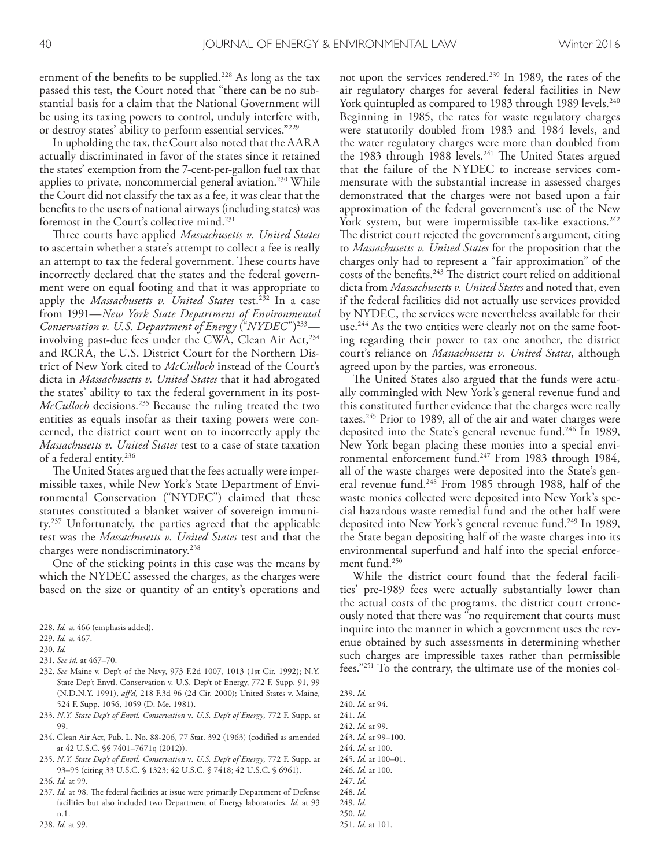ernment of the benefts to be supplied. 228 As long as the tax passed this test, the Court noted that "there can be no substantial basis for a claim that the National Government will be using its taxing powers to control, unduly interfere with, or destroy states' ability to perform essential services."229

In upholding the tax, the Court also noted that the AARA actually discriminated in favor of the states since it retained the states' exemption from the 7-cent-per-gallon fuel tax that applies to private, noncommercial general aviation. <sup>230</sup> While the Court did not classify the tax as a fee, it was clear that the benefts to the users of national airways (including states) was foremost in the Court's collective mind. 231

Three courts have applied *Massachusetts v. United States* to ascertain whether a state's attempt to collect a fee is really an attempt to tax the federal government. These courts have incorrectly declared that the states and the federal government were on equal footing and that it was appropriate to apply the *Massachusetts v. United States* test. 232 In a case from 1991—*New York State Department of Environmental Conservation v. U.S. Department of Energy* ("*NYDEC*")233 involving past-due fees under the CWA, Clean Air Act,<sup>234</sup> and RCRA, the U.S. District Court for the Northern District of New York cited to *McCulloch* instead of the Court's dicta in *Massachusetts v. United States* that it had abrogated the states' ability to tax the federal government in its post-*McCulloch* decisions. 235 Because the ruling treated the two entities as equals insofar as their taxing powers were concerned, the district court went on to incorrectly apply the *Massachusetts v. United States* test to a case of state taxation of a federal entity. 236

The United States argued that the fees actually were impermissible taxes, while New York's State Department of Environmental Conservation ("NYDEC") claimed that these statutes constituted a blanket waiver of sovereign immunity. 237 Unfortunately, the parties agreed that the applicable test was the *Massachusetts v. United States* test and that the charges were nondiscriminatory. 238

One of the sticking points in this case was the means by which the NYDEC assessed the charges, as the charges were based on the size or quantity of an entity's operations and

- 232. *See* Maine v. Dep't of the Navy, 973 F.2d 1007, 1013 (1st Cir. 1992); N.Y. State Dep't Envtl. Conservation v. U.S. Dep't of Energy, 772 F. Supp. 91, 99 (N.D.N.Y. 1991), *af'd*, 218 F.3d 96 (2d Cir. 2000); United States v. Maine, 524 F. Supp. 1056, 1059 (D. Me. 1981).
- 233. *N.Y. State Dep't of Envtl. Conservation* v*. U.S. Dep't of Energy*, 772 F. Supp. at 99.
- 234. Clean Air Act, Pub. L. No. 88-206, 77 Stat. 392 (1963) (codifed as amended at 42 U.S.C. §§ 7401–7671q (2012)).
- 235. *N.Y. State Dep't of Envtl. Conservation* v*. U.S. Dep't of Energy*, 772 F. Supp. at 93–95 (citing 33 U.S.C. § 1323; 42 U.S.C. § 7418; 42 U.S.C. § 6961).

not upon the services rendered. 239 In 1989, the rates of the air regulatory charges for several federal facilities in New York quintupled as compared to 1983 through 1989 levels. 240 Beginning in 1985, the rates for waste regulatory charges were statutorily doubled from 1983 and 1984 levels, and the water regulatory charges were more than doubled from the 1983 through 1988 levels.<sup>241</sup> The United States argued that the failure of the NYDEC to increase services commensurate with the substantial increase in assessed charges demonstrated that the charges were not based upon a fair approximation of the federal government's use of the New York system, but were impermissible tax-like exactions. 242 The district court rejected the government's argument, citing to *Massachusetts v. United States* for the proposition that the charges only had to represent a "fair approximation" of the costs of the benefits.<sup>243</sup> The district court relied on additional dicta from *Massachusetts v. United States* and noted that, even if the federal facilities did not actually use services provided by NYDEC, the services were nevertheless available for their use. 244 As the two entities were clearly not on the same footing regarding their power to tax one another, the district court's reliance on *Massachusetts v. United States*, although agreed upon by the parties, was erroneous.

The United States also argued that the funds were actually commingled with New York's general revenue fund and this constituted further evidence that the charges were really taxes. 245 Prior to 1989, all of the air and water charges were deposited into the State's general revenue fund. 246 In 1989, New York began placing these monies into a special environmental enforcement fund.<sup>247</sup> From 1983 through 1984, all of the waste charges were deposited into the State's general revenue fund. 248 From 1985 through 1988, half of the waste monies collected were deposited into New York's special hazardous waste remedial fund and the other half were deposited into New York's general revenue fund. 249 In 1989, the State began depositing half of the waste charges into its environmental superfund and half into the special enforcement fund. 250

While the district court found that the federal facilities' pre-1989 fees were actually substantially lower than the actual costs of the programs, the district court erroneously noted that there was "no requirement that courts must inquire into the manner in which a government uses the revenue obtained by such assessments in determining whether such charges are impressible taxes rather than permissible fees."251 To the contrary, the ultimate use of the monies col-

- 242. *Id.* at 99.
- 243. *Id.* at 99–100.
- 244. *Id*. at 100.
- 245. *Id.* at 100–01.

- 247. *Id.*
- 248. *Id.*
- 249. *Id.* 250. *Id.*

<sup>228.</sup> *Id.* at 466 (emphasis added).

<sup>229.</sup> *Id.* at 467.

<sup>230.</sup> *Id.*

<sup>231.</sup> *See id.* at 467–70.

<sup>236.</sup> *Id.* at 99.

<sup>237.</sup> *Id.* at 98. The federal facilities at issue were primarily Department of Defense facilities but also included two Department of Energy laboratories. *Id.* at 93 n.1.

<sup>239.</sup> *Id.*

<sup>240.</sup> *Id.* at 94.

<sup>241.</sup> *Id.*

<sup>246.</sup> *Id.* at 100.

<sup>251.</sup> *Id.* at 101.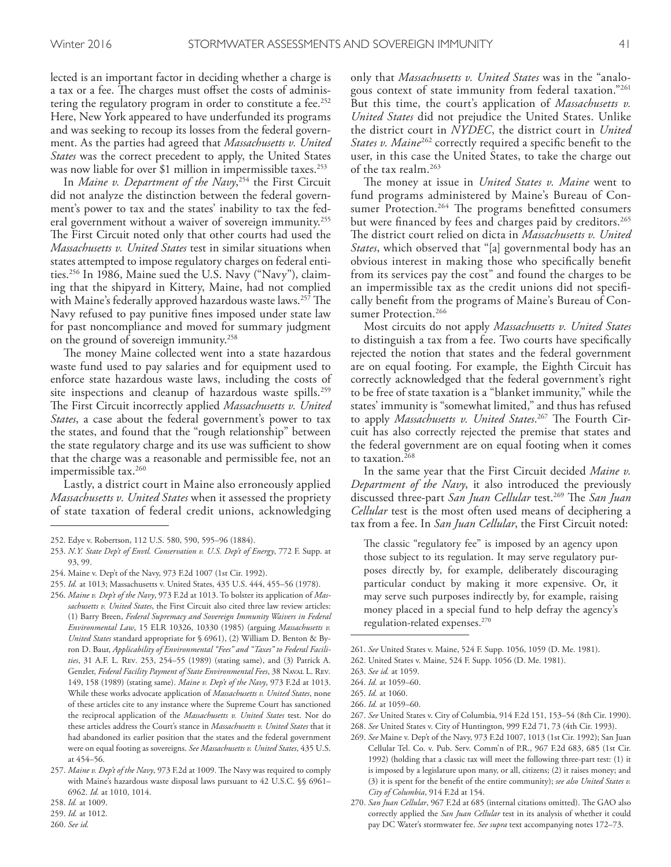lected is an important factor in deciding whether a charge is a tax or a fee. The charges must offset the costs of administering the regulatory program in order to constitute a fee. 252 Here, New York appeared to have underfunded its programs and was seeking to recoup its losses from the federal government. As the parties had agreed that *Massachusetts v. United States* was the correct precedent to apply, the United States was now liable for over \$1 million in impermissible taxes. 253

In *Maine v. Department of the Navy*, 254 the First Circuit did not analyze the distinction between the federal government's power to tax and the states' inability to tax the federal government without a waiver of sovereign immunity. 255 The First Circuit noted only that other courts had used the *Massachusetts v. United States* test in similar situations when states attempted to impose regulatory charges on federal entities. 256 In 1986, Maine sued the U.S. Navy ("Navy"), claiming that the shipyard in Kittery, Maine, had not complied with Maine's federally approved hazardous waste laws.<sup>257</sup> The Navy refused to pay punitive fnes imposed under state law for past noncompliance and moved for summary judgment on the ground of sovereign immunity. 258

The money Maine collected went into a state hazardous waste fund used to pay salaries and for equipment used to enforce state hazardous waste laws, including the costs of site inspections and cleanup of hazardous waste spills. 259 The First Circuit incorrectly applied *Massachusetts v. United States*, a case about the federal government's power to tax the states, and found that the "rough relationship" between the state regulatory charge and its use was sufficient to show that the charge was a reasonable and permissible fee, not an impermissible tax. 260

Lastly, a district court in Maine also erroneously applied *Massachusetts v. United States* when it assessed the propriety of state taxation of federal credit unions, acknowledging

only that *Massachusetts v. United States* was in the "analogous context of state immunity from federal taxation."261 But this time, the court's application of *Massachusetts v. United States* did not prejudice the United States. Unlike the district court in *NYDEC*, the district court in *United States v. Maine<sup>262</sup>* correctly required a specific benefit to the user, in this case the United States, to take the charge out of the tax realm. 263

The money at issue in *United States v. Maine* went to fund programs administered by Maine's Bureau of Consumer Protection.<sup>264</sup> The programs benefitted consumers but were fnanced by fees and charges paid by creditors. 265 The district court relied on dicta in *Massachusetts v. United States*, which observed that "[a] governmental body has an obvious interest in making those who specifcally beneft from its services pay the cost" and found the charges to be an impermissible tax as the credit unions did not specifcally beneft from the programs of Maine's Bureau of Consumer Protection. 266

Most circuits do not apply *Massachusetts v. United States* to distinguish a tax from a fee. Two courts have specifcally rejected the notion that states and the federal government are on equal footing. For example, the Eighth Circuit has correctly acknowledged that the federal government's right to be free of state taxation is a "blanket immunity," while the states' immunity is "somewhat limited," and thus has refused to apply *Massachusetts v. United States*.<sup>267</sup> The Fourth Circuit has also correctly rejected the premise that states and the federal government are on equal footing when it comes to taxation. 268

In the same year that the First Circuit decided *Maine v. Department of the Navy*, it also introduced the previously discussed three-part *San Juan Cellular* test.<sup>269</sup> The *San Juan Cellular* test is the most often used means of deciphering a tax from a fee. In *San Juan Cellular*, the First Circuit noted:

The classic "regulatory fee" is imposed by an agency upon those subject to its regulation. It may serve regulatory purposes directly by, for example, deliberately discouraging particular conduct by making it more expensive. Or, it may serve such purposes indirectly by, for example, raising money placed in a special fund to help defray the agency's regulation-related expenses. 270

<sup>252.</sup> Edye v. Robertson, 112 U.S. 580, 590, 595–96 (1884).

<sup>253.</sup> *N.Y. State Dep't of Envtl. Conservation v. U.S. Dep't of Energy*, 772 F. Supp. at 93, 99.

<sup>254.</sup> Maine v. Dep't of the Navy, 973 F.2d 1007 (1st Cir. 1992).

<sup>255.</sup> *Id.* at 1013; Massachusetts v. United States, 435 U.S. 444, 455–56 (1978).

<sup>256.</sup> *Maine v. Dep't of the Navy*, 973 F.2d at 1013. To bolster its application of *Massachusetts v. United States*, the First Circuit also cited three law review articles: (1) Barry Breen, *Federal Supremacy and Sovereign Immunity Waivers in Federal Environmental Law*, 15 ELR 10326, 10330 (1985) (arguing *Massachusetts v. United States* standard appropriate for § 6961), (2) William D. Benton & Byron D. Baur, *Applicability of Environmental "Fees" and "Taxes" to Federal Facilities*, 31 A.F. L. Rev. 253, 254–55 (1989) (stating same), and (3) Patrick A. Genzler, *Federal Facility Payment of State Environmental Fees*, 38 Naval L. Rev*.* 149, 158 (1989) (stating same). *Maine v. Dep't of the Navy*, 973 F.2d at 1013. While these works advocate application of *Massachusetts v. United States*, none of these articles cite to any instance where the Supreme Court has sanctioned the reciprocal application of the *Massachusetts v. United States* test. Nor do these articles address the Court's stance in *Massachusetts v. United States* that it had abandoned its earlier position that the states and the federal government were on equal footing as sovereigns. *See Massachusetts v. United States*, 435 U.S. at 454–56.

<sup>257.</sup> Maine v. Dep't of the Navy, 973 F.2d at 1009. The Navy was required to comply with Maine's hazardous waste disposal laws pursuant to 42 U.S.C. §§ 6961– 6962. *Id.* at 1010, 1014.

<sup>258.</sup> *Id.* at 1009.

<sup>259.</sup> *Id.* at 1012.

<sup>260.</sup> *See id.*

<sup>261.</sup> *See* United States v. Maine, 524 F. Supp. 1056, 1059 (D. Me. 1981).

<sup>262.</sup> United States v. Maine, 524 F. Supp. 1056 (D. Me. 1981).

<sup>263.</sup> *See id.* at 1059.

<sup>264.</sup> *Id.* at 1059–60.

<sup>265.</sup> *Id.* at 1060.

<sup>266.</sup> *Id.* at 1059–60.

<sup>267.</sup> *See* United States v. City of Columbia, 914 F.2d 151, 153–54 (8th Cir. 1990).

<sup>268.</sup> *See* United States v. City of Huntington, 999 F.2d 71, 73 (4th Cir. 1993).

<sup>269.</sup> *See* Maine v. Dep't of the Navy, 973 F.2d 1007, 1013 (1st Cir. 1992); San Juan Cellular Tel. Co. v. Pub. Serv. Comm'n of P.R., 967 F.2d 683, 685 (1st Cir. 1992) (holding that a classic tax will meet the following three-part test: (1) it is imposed by a legislature upon many, or all, citizens; (2) it raises money; and (3) it is spent for the beneft of the entire community); *see also United States v. City of Columbia*, 914 F.2d at 154.

<sup>270.</sup> *San Juan Cellular*, 967 F.2d at 685 (internal citations omitted). The GAO also correctly applied the *San Juan Cellular* test in its analysis of whether it could pay DC Water's stormwater fee. *See supra* text accompanying notes 172–73.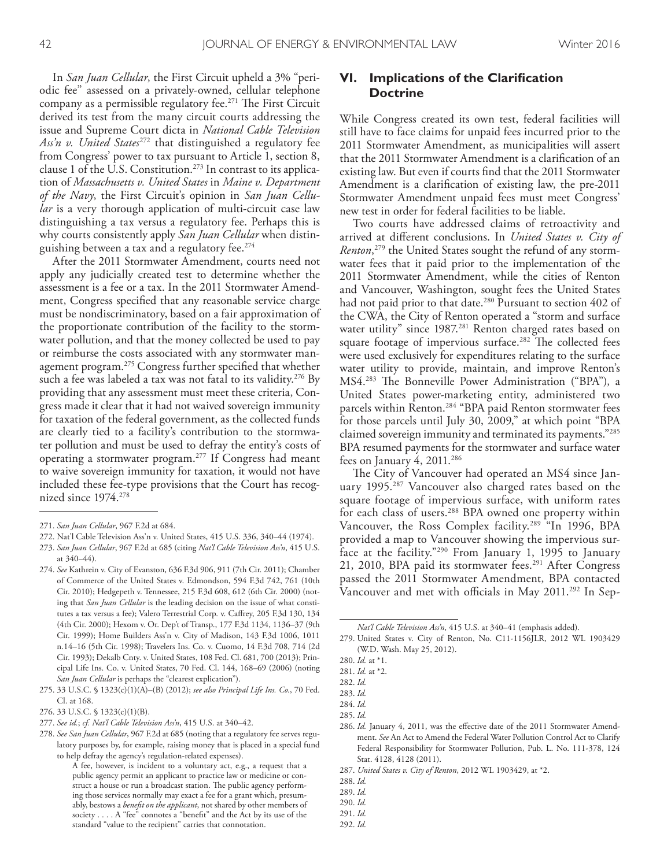In *San Juan Cellular*, the First Circuit upheld a 3% "periodic fee" assessed on a privately-owned, cellular telephone company as a permissible regulatory fee.<sup>271</sup> The First Circuit derived its test from the many circuit courts addressing the issue and Supreme Court dicta in *National Cable Television Ass'n v. United States*272 that distinguished a regulatory fee from Congress' power to tax pursuant to Article 1, section 8, clause 1 of the U.S. Constitution. 273 In contrast to its application of *Massachusetts v. United States* in *Maine v. Department of the Navy*, the First Circuit's opinion in *San Juan Cellular* is a very thorough application of multi-circuit case law distinguishing a tax versus a regulatory fee. Perhaps this is why courts consistently apply *San Juan Cellular* when distinguishing between a tax and a regulatory fee. 274

After the 2011 Stormwater Amendment, courts need not apply any judicially created test to determine whether the assessment is a fee or a tax. In the 2011 Stormwater Amendment, Congress specifed that any reasonable service charge must be nondiscriminatory, based on a fair approximation of the proportionate contribution of the facility to the stormwater pollution, and that the money collected be used to pay or reimburse the costs associated with any stormwater management program. <sup>275</sup> Congress further specifed that whether such a fee was labeled a tax was not fatal to its validity. 276 By providing that any assessment must meet these criteria, Congress made it clear that it had not waived sovereign immunity for taxation of the federal government, as the collected funds are clearly tied to a facility's contribution to the stormwater pollution and must be used to defray the entity's costs of operating a stormwater program. 277 If Congress had meant to waive sovereign immunity for taxation, it would not have included these fee-type provisions that the Court has recognized since 1974. 278

# **VI. Implications of the Clarification Doctrine**

While Congress created its own test, federal facilities will still have to face claims for unpaid fees incurred prior to the 2011 Stormwater Amendment, as municipalities will assert that the 2011 Stormwater Amendment is a clarifcation of an existing law. But even if courts fnd that the 2011 Stormwater Amendment is a clarifcation of existing law, the pre-2011 Stormwater Amendment unpaid fees must meet Congress' new test in order for federal facilities to be liable.

Two courts have addressed claims of retroactivity and arrived at diferent conclusions. In *United States v. City of Renton*, 279 the United States sought the refund of any stormwater fees that it paid prior to the implementation of the 2011 Stormwater Amendment, while the cities of Renton and Vancouver, Washington, sought fees the United States had not paid prior to that date. 280 Pursuant to section 402 of the CWA, the City of Renton operated a "storm and surface water utility" since 1987. 281 Renton charged rates based on square footage of impervious surface.<sup>282</sup> The collected fees were used exclusively for expenditures relating to the surface water utility to provide, maintain, and improve Renton's MS4.<sup>283</sup> The Bonneville Power Administration ("BPA"), a United States power-marketing entity, administered two parcels within Renton. 284 "BPA paid Renton stormwater fees for those parcels until July 30, 2009," at which point "BPA claimed sovereign immunity and terminated its payments."285 BPA resumed payments for the stormwater and surface water fees on January 4, 2011. 286

The City of Vancouver had operated an MS4 since January 1995. 287 Vancouver also charged rates based on the square footage of impervious surface, with uniform rates for each class of users. 288 BPA owned one property within Vancouver, the Ross Complex facility. 289 "In 1996, BPA provided a map to Vancouver showing the impervious surface at the facility."290 From January 1, 1995 to January 21, 2010, BPA paid its stormwater fees. 291 After Congress passed the 2011 Stormwater Amendment, BPA contacted Vancouver and met with officials in May 2011.<sup>292</sup> In Sep-

292. *Id.*

<sup>271.</sup> *San Juan Cellular*, 967 F.2d at 684.

<sup>272.</sup> Nat'l Cable Television Ass'n v. United States, 415 U.S. 336, 340–44 (1974).

<sup>273.</sup> *San Juan Cellular*, 967 F.2d at 685 (citing *Nat'l Cable Television Ass'n*, 415 U.S. at 340–44).

<sup>274.</sup> *See* Kathrein v. City of Evanston, 636 F.3d 906, 911 (7th Cir. 2011); Chamber of Commerce of the United States v. Edmondson, 594 F.3d 742, 761 (10th Cir. 2010); Hedgepeth v. Tennessee, 215 F.3d 608, 612 (6th Cir. 2000) (noting that *San Juan Cellular* is the leading decision on the issue of what constitutes a tax versus a fee); Valero Terrestrial Corp. v. Cafrey, 205 F.3d 130, 134 (4th Cir. 2000); Hexom v. Or. Dep't of Transp., 177 F.3d 1134, 1136–37 (9th Cir. 1999); Home Builders Ass'n v. City of Madison, 143 F.3d 1006, 1011 n.14–16 (5th Cir. 1998); Travelers Ins. Co. v. Cuomo, 14 F.3d 708, 714 (2d Cir. 1993); Dekalb Cnty. v. United States, 108 Fed. Cl. 681, 700 (2013); Principal Life Ins. Co. v. United States, 70 Fed. Cl. 144, 168–69 (2006) (noting *San Juan Cellular* is perhaps the "clearest explication").

<sup>275.</sup> 33 U.S.C. § 1323(c)(1)(A)–(B) (2012); *see also Principal Life Ins. Co.*, 70 Fed. Cl. at 168.

<sup>276.</sup> 33 U.S.C. § 1323(c)(1)(B).

<sup>277.</sup> *See id.*; *cf. Nat'l Cable Television Ass'n*, 415 U.S. at 340–42.

<sup>278.</sup> *See San Juan Cellular*, 967 F.2d at 685 (noting that a regulatory fee serves regulatory purposes by, for example, raising money that is placed in a special fund to help defray the agency's regulation-related expenses).

A fee, however, is incident to a voluntary act, e.g., a request that a public agency permit an applicant to practice law or medicine or construct a house or run a broadcast station. The public agency performing those services normally may exact a fee for a grant which, presumably, bestows a *beneft on the applicant*, not shared by other members of society . . . . A "fee" connotes a "beneft" and the Act by its use of the standard "value to the recipient" carries that connotation.

*Nat'l Cable Television Ass'n*, 415 U.S. at 340–41 (emphasis added).

<sup>279.</sup> United States v. City of Renton, No. C11-1156JLR, 2012 WL 1903429 (W.D. Wash. May 25, 2012).

<sup>280.</sup> *Id.* at \*1.

<sup>281.</sup> *Id.* at \*2.

<sup>282.</sup> *Id.*

<sup>283.</sup> *Id.*

<sup>284.</sup> *Id.*

<sup>285.</sup> *Id.*

<sup>286.</sup> *Id.* January 4, 2011, was the efective date of the 2011 Stormwater Amendment. *See* An Act to Amend the Federal Water Pollution Control Act to Clarify Federal Responsibility for Stormwater Pollution, Pub. L. No. 111-378, 124 Stat. 4128, 4128 (2011).

<sup>287.</sup> *United States v. City of Renton*, 2012 WL 1903429, at \*2.

<sup>288.</sup> *Id.*

<sup>289.</sup> *Id.*

<sup>290.</sup> *Id.*

<sup>291.</sup> *Id.*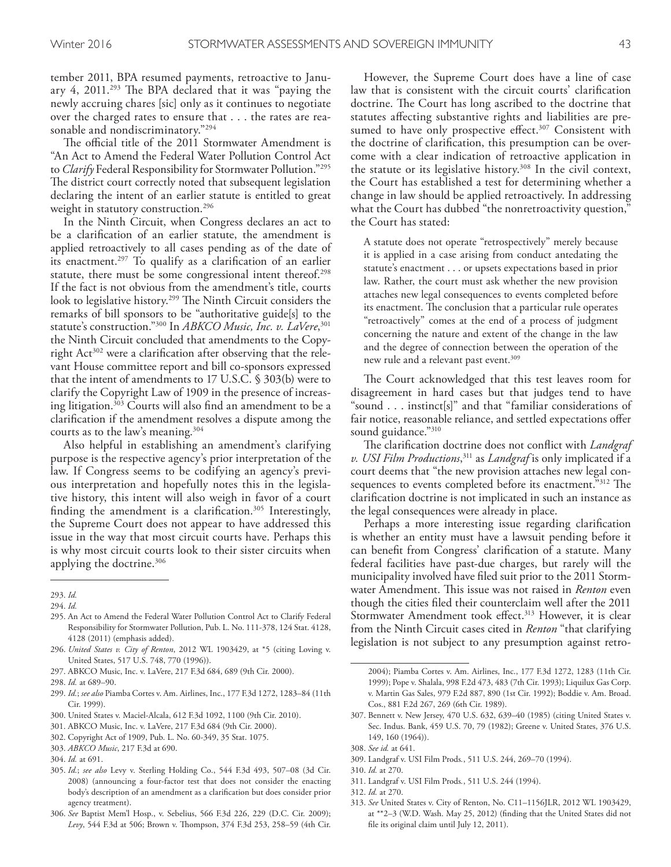tember 2011, BPA resumed payments, retroactive to January 4, 2011.<sup>293</sup> The BPA declared that it was "paying the newly accruing chares [sic] only as it continues to negotiate over the charged rates to ensure that . . . the rates are reasonable and nondiscriminatory."294

The official title of the 2011 Stormwater Amendment is "An Act to Amend the Federal Water Pollution Control Act to *Clarify* Federal Responsibility for Stormwater Pollution."295 The district court correctly noted that subsequent legislation declaring the intent of an earlier statute is entitled to great weight in statutory construction. 296

In the Ninth Circuit, when Congress declares an act to be a clarifcation of an earlier statute, the amendment is applied retroactively to all cases pending as of the date of its enactment. 297 To qualify as a clarifcation of an earlier statute, there must be some congressional intent thereof. 298 If the fact is not obvious from the amendment's title, courts look to legislative history.<sup>299</sup> The Ninth Circuit considers the remarks of bill sponsors to be "authoritative guide[s] to the statute's construction."300 In *ABKCO Music, Inc. v. LaVere*, 301 the Ninth Circuit concluded that amendments to the Copyright Act<sup>302</sup> were a clarification after observing that the relevant House committee report and bill co-sponsors expressed that the intent of amendments to 17 U.S.C. § 303(b) were to clarify the Copyright Law of 1909 in the presence of increasing litigation. 303 Courts will also fnd an amendment to be a clarifcation if the amendment resolves a dispute among the courts as to the law's meaning. 304

Also helpful in establishing an amendment's clarifying purpose is the respective agency's prior interpretation of the law. If Congress seems to be codifying an agency's previous interpretation and hopefully notes this in the legislative history, this intent will also weigh in favor of a court fnding the amendment is a clarifcation. 305 Interestingly, the Supreme Court does not appear to have addressed this issue in the way that most circuit courts have. Perhaps this is why most circuit courts look to their sister circuits when applying the doctrine. 306

295. An Act to Amend the Federal Water Pollution Control Act to Clarify Federal Responsibility for Stormwater Pollution, Pub. L. No. 111-378, 124 Stat. 4128, 4128 (2011) (emphasis added).

- 296. *United States v. City of Renton*, 2012 WL 1903429, at \*5 (citing Loving v. United States, 517 U.S. 748, 770 (1996)).
- 297. ABKCO Music, Inc. v. LaVere, 217 F.3d 684, 689 (9th Cir. 2000).

- 299. *Id.*; *see also* Piamba Cortes v. Am. Airlines, Inc., 177 F.3d 1272, 1283–84 (11th Cir. 1999).
- 300. United States v. Maciel-Alcala, 612 F.3d 1092, 1100 (9th Cir. 2010).
- 301. ABKCO Music, Inc. v. LaVere, 217 F.3d 684 (9th Cir. 2000).
- 302. Copyright Act of 1909, Pub. L. No. 60-349, 35 Stat. 1075.
- 303. *ABKCO Music*, 217 F.3d at 690.

However, the Supreme Court does have a line of case law that is consistent with the circuit courts' clarifcation doctrine. The Court has long ascribed to the doctrine that statutes afecting substantive rights and liabilities are presumed to have only prospective effect.<sup>307</sup> Consistent with the doctrine of clarifcation, this presumption can be overcome with a clear indication of retroactive application in the statute or its legislative history. 308 In the civil context, the Court has established a test for determining whether a change in law should be applied retroactively. In addressing what the Court has dubbed "the nonretroactivity question," the Court has stated:

A statute does not operate "retrospectively" merely because it is applied in a case arising from conduct antedating the statute's enactment . . . or upsets expectations based in prior law. Rather, the court must ask whether the new provision attaches new legal consequences to events completed before its enactment. The conclusion that a particular rule operates "retroactively" comes at the end of a process of judgment concerning the nature and extent of the change in the law and the degree of connection between the operation of the new rule and a relevant past event. 309

The Court acknowledged that this test leaves room for disagreement in hard cases but that judges tend to have "sound . . . instinct[s]" and that "familiar considerations of fair notice, reasonable reliance, and settled expectations ofer sound guidance."310

The clarification doctrine does not conflict with *Landgraf v. USI Film Productions*, 311 as *Landgraf* is only implicated if a court deems that "the new provision attaches new legal consequences to events completed before its enactment."<sup>312</sup> The clarifcation doctrine is not implicated in such an instance as the legal consequences were already in place.

Perhaps a more interesting issue regarding clarifcation is whether an entity must have a lawsuit pending before it can beneft from Congress' clarifcation of a statute. Many federal facilities have past-due charges, but rarely will the municipality involved have fled suit prior to the 2011 Stormwater Amendment. This issue was not raised in *Renton* even though the cities fled their counterclaim well after the 2011 Stormwater Amendment took effect.<sup>313</sup> However, it is clear from the Ninth Circuit cases cited in *Renton* "that clarifying legislation is not subject to any presumption against retro-

- 309. Landgraf v. USI Film Prods*.*, 511 U.S. 244, 269–70 (1994).
- 310. *Id.* at 270.

- 312. *Id.* at 270.
- 313. *See* United States v. City of Renton, No. C11–1156JLR, 2012 WL 1903429, at \*\*2–3 (W.D. Wash. May 25, 2012) (fnding that the United States did not fle its original claim until July 12, 2011).

<sup>293.</sup> *Id.*

<sup>294.</sup> *Id.*

<sup>298.</sup> *Id.* at 689–90.

<sup>304.</sup> *Id.* at 691.

<sup>305.</sup> *Id.*; *see also* Levy v. Sterling Holding Co., 544 F.3d 493, 507–08 (3d Cir. 2008) (announcing a four-factor test that does not consider the enacting body's description of an amendment as a clarifcation but does consider prior agency treatment).

<sup>306.</sup> *See* Baptist Mem'l Hosp., v. Sebelius, 566 F.3d 226, 229 (D.C. Cir. 2009); Levy, 544 F.3d at 506; Brown v. Thompson, 374 F.3d 253, 258-59 (4th Cir.

<sup>2004);</sup> Piamba Cortes v. Am. Airlines, Inc., 177 F.3d 1272, 1283 (11th Cir. 1999); Pope v. Shalala, 998 F.2d 473, 483 (7th Cir. 1993); Liquilux Gas Corp. v. Martin Gas Sales, 979 F.2d 887, 890 (1st Cir. 1992); Boddie v. Am. Broad. Cos., 881 F.2d 267, 269 (6th Cir. 1989).

<sup>307.</sup> Bennett v. New Jersey, 470 U.S. 632, 639–40 (1985) (citing United States v. Sec. Indus. Bank, 459 U.S. 70, 79 (1982); Greene v. United States, 376 U.S. 149, 160 (1964)).

<sup>308.</sup> *See id.* at 641.

<sup>311.</sup> Landgraf v. USI Film Prods*.*, 511 U.S. 244 (1994).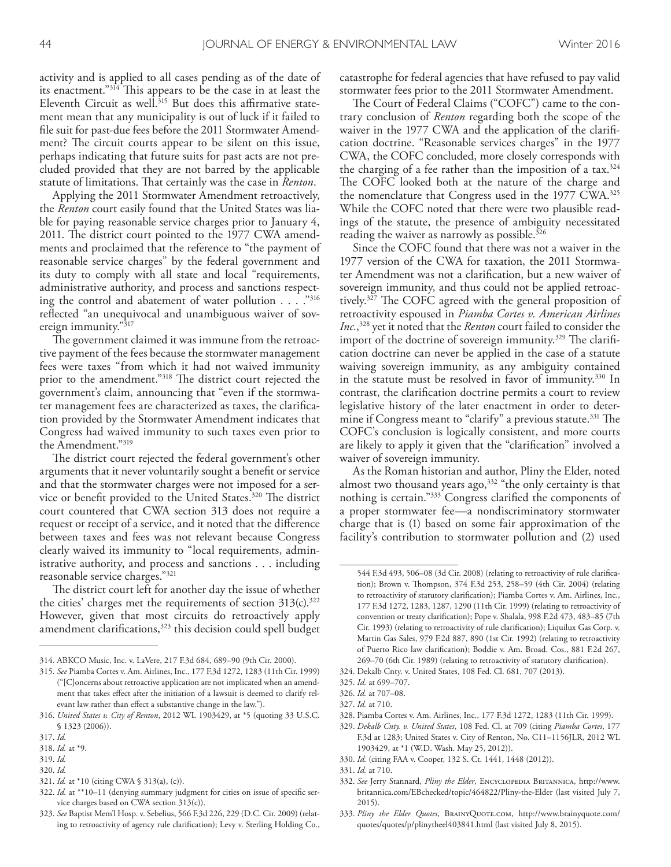activity and is applied to all cases pending as of the date of its enactment."<sup>314</sup> This appears to be the case in at least the Eleventh Circuit as well.<sup>315</sup> But does this affirmative statement mean that any municipality is out of luck if it failed to fle suit for past-due fees before the 2011 Stormwater Amendment? The circuit courts appear to be silent on this issue, perhaps indicating that future suits for past acts are not precluded provided that they are not barred by the applicable statute of limitations. That certainly was the case in *Renton*.

Applying the 2011 Stormwater Amendment retroactively, the *Renton* court easily found that the United States was liable for paying reasonable service charges prior to January 4, 2011. The district court pointed to the 1977 CWA amendments and proclaimed that the reference to "the payment of reasonable service charges" by the federal government and its duty to comply with all state and local "requirements, administrative authority, and process and sanctions respecting the control and abatement of water pollution  $\dots$ ."<sup>316</sup> refected "an unequivocal and unambiguous waiver of sovereign immunity."<sup>317</sup>

The government claimed it was immune from the retroactive payment of the fees because the stormwater management fees were taxes "from which it had not waived immunity prior to the amendment."<sup>318</sup> The district court rejected the government's claim, announcing that "even if the stormwater management fees are characterized as taxes, the clarifcation provided by the Stormwater Amendment indicates that Congress had waived immunity to such taxes even prior to the Amendment."319

The district court rejected the federal government's other arguments that it never voluntarily sought a beneft or service and that the stormwater charges were not imposed for a service or benefit provided to the United States.<sup>320</sup> The district court countered that CWA section 313 does not require a request or receipt of a service, and it noted that the diference between taxes and fees was not relevant because Congress clearly waived its immunity to "local requirements, administrative authority, and process and sanctions . . . including reasonable service charges."321

The district court left for another day the issue of whether the cities' charges met the requirements of section 313(c). 322 However, given that most circuits do retroactively apply amendment clarifications,<sup>323</sup> this decision could spell budget

319. *Id.*

321. *Id.* at \*10 (citing CWA § 313(a), (c)).

catastrophe for federal agencies that have refused to pay valid stormwater fees prior to the 2011 Stormwater Amendment.

The Court of Federal Claims ("COFC") came to the contrary conclusion of *Renton* regarding both the scope of the waiver in the 1977 CWA and the application of the clarifcation doctrine. "Reasonable services charges" in the 1977 CWA, the COFC concluded, more closely corresponds with the charging of a fee rather than the imposition of a tax. 324 The COFC looked both at the nature of the charge and the nomenclature that Congress used in the 1977 CWA. 325 While the COFC noted that there were two plausible readings of the statute, the presence of ambiguity necessitated reading the waiver as narrowly as possible. 326

Since the COFC found that there was not a waiver in the 1977 version of the CWA for taxation, the 2011 Stormwater Amendment was not a clarifcation, but a new waiver of sovereign immunity, and thus could not be applied retroactively.<sup>327</sup> The COFC agreed with the general proposition of retroactivity espoused in *Piamba Cortes v. American Airlines Inc.*, 328 yet it noted that the *Renton* court failed to consider the import of the doctrine of sovereign immunity.<sup>329</sup> The clarification doctrine can never be applied in the case of a statute waiving sovereign immunity, as any ambiguity contained in the statute must be resolved in favor of immunity. 330 In contrast, the clarifcation doctrine permits a court to review legislative history of the later enactment in order to determine if Congress meant to "clarify" a previous statute.<sup>331</sup> The COFC's conclusion is logically consistent, and more courts are likely to apply it given that the "clarifcation" involved a waiver of sovereign immunity.

As the Roman historian and author, Pliny the Elder, noted almost two thousand years ago,<sup>332</sup> "the only certainty is that nothing is certain."333 Congress clarifed the components of a proper stormwater fee—a nondiscriminatory stormwater charge that is (1) based on some fair approximation of the facility's contribution to stormwater pollution and (2) used

328. Piamba Cortes v. Am. Airlines, Inc., 177 F.3d 1272, 1283 (11th Cir. 1999).

331. *Id.* at 710.

333. *Pliny the Elder Quotes*, BrainyQuote.com, http://www.brainyquote.com/ quotes/quotes/p/plinytheel403841.html (last visited July 8, 2015).

<sup>314.</sup> ABKCO Music, Inc. v. LaVere, 217 F.3d 684, 689–90 (9th Cir. 2000).

<sup>315.</sup> *See* Piamba Cortes v. Am. Airlines, Inc., 177 F.3d 1272, 1283 (11th Cir. 1999) ("[C]oncerns about retroactive application are not implicated when an amendment that takes efect after the initiation of a lawsuit is deemed to clarify relevant law rather than efect a substantive change in the law.").

<sup>316.</sup> *United States v. City of Renton*, 2012 WL 1903429, at \*5 (quoting 33 U.S.C. § 1323 (2006)).

<sup>317.</sup> *Id.*

<sup>318.</sup> *Id.* at \*9.

<sup>320.</sup> *Id.*

<sup>322.</sup> *Id.* at \*\*10–11 (denying summary judgment for cities on issue of specifc service charges based on CWA section 313(c)).

<sup>323.</sup> *See* Baptist Mem'l Hosp. v. Sebelius, 566 F.3d 226, 229 (D.C. Cir. 2009) (relating to retroactivity of agency rule clarifcation); Levy v. Sterling Holding Co.,

<sup>544</sup> F.3d 493, 506–08 (3d Cir. 2008) (relating to retroactivity of rule clarifcation); Brown v. Thompson, 374 F.3d 253, 258-59 (4th Cir. 2004) (relating to retroactivity of statutory clarifcation); Piamba Cortes v. Am. Airlines, Inc., 177 F.3d 1272, 1283, 1287, 1290 (11th Cir. 1999) (relating to retroactivity of convention or treaty clarifcation); Pope v. Shalala, 998 F.2d 473, 483–85 (7th Cir. 1993) (relating to retroactivity of rule clarifcation); Liquilux Gas Corp. v. Martin Gas Sales, 979 F.2d 887, 890 (1st Cir. 1992) (relating to retroactivity of Puerto Rico law clarifcation); Boddie v. Am. Broad. Cos., 881 F.2d 267, 269–70 (6th Cir. 1989) (relating to retroactivity of statutory clarifcation).

<sup>324.</sup> Dekalb Cnty. v. United States, 108 Fed. Cl. 681, 707 (2013).

<sup>325.</sup> *Id.* at 699–707.

<sup>326.</sup> *Id.* at 707–08.

<sup>327.</sup> *Id.* at 710.

<sup>329.</sup> *Dekalb Cnty. v. United States*, 108 Fed. Cl. at 709 (citing *Piamba Cortes*, 177 F.3d at 1283; United States v. City of Renton, No. C11–1156JLR, 2012 WL 1903429, at \*1 (W.D. Wash. May 25, 2012)).

<sup>330.</sup> *Id.* (citing FAA v. Cooper, 132 S. Ct. 1441, 1448 (2012)).

<sup>332.</sup> *See* Jerry Stannard, *Pliny the Elder*, Encyclopedia Britannica, http://www. britannica.com/EBchecked/topic/464822/Pliny-the-Elder (last visited July 7, 2015).